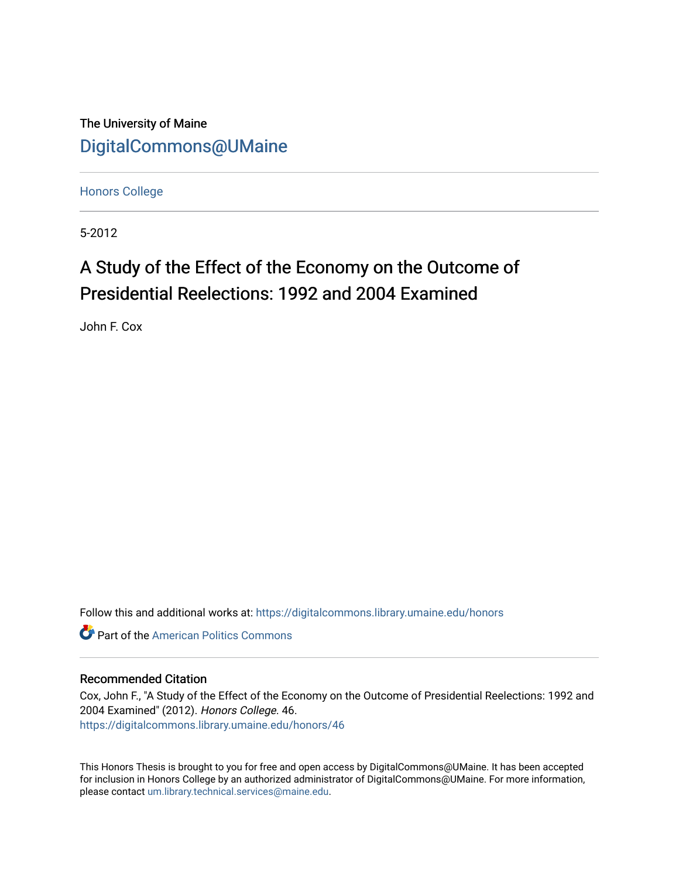The University of Maine [DigitalCommons@UMaine](https://digitalcommons.library.umaine.edu/)

[Honors College](https://digitalcommons.library.umaine.edu/honors)

5-2012

# A Study of the Effect of the Economy on the Outcome of Presidential Reelections: 1992 and 2004 Examined

John F. Cox

Follow this and additional works at: [https://digitalcommons.library.umaine.edu/honors](https://digitalcommons.library.umaine.edu/honors?utm_source=digitalcommons.library.umaine.edu%2Fhonors%2F46&utm_medium=PDF&utm_campaign=PDFCoverPages) 

**C** Part of the American Politics Commons

### Recommended Citation

Cox, John F., "A Study of the Effect of the Economy on the Outcome of Presidential Reelections: 1992 and 2004 Examined" (2012). Honors College. 46. [https://digitalcommons.library.umaine.edu/honors/46](https://digitalcommons.library.umaine.edu/honors/46?utm_source=digitalcommons.library.umaine.edu%2Fhonors%2F46&utm_medium=PDF&utm_campaign=PDFCoverPages) 

This Honors Thesis is brought to you for free and open access by DigitalCommons@UMaine. It has been accepted for inclusion in Honors College by an authorized administrator of DigitalCommons@UMaine. For more information, please contact [um.library.technical.services@maine.edu.](mailto:um.library.technical.services@maine.edu)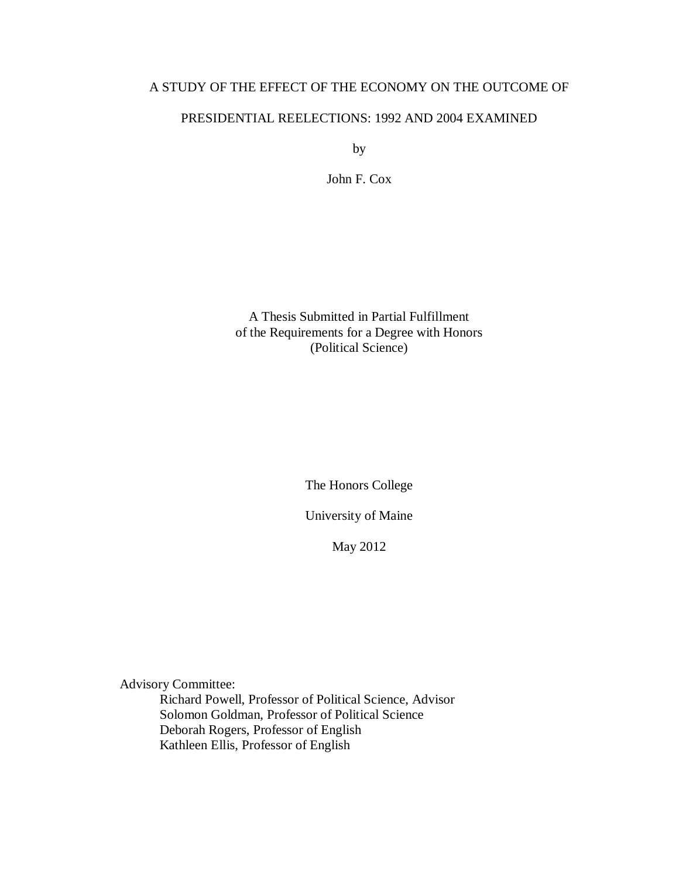# A STUDY OF THE EFFECT OF THE ECONOMY ON THE OUTCOME OF

# PRESIDENTIAL REELECTIONS: 1992 AND 2004 EXAMINED

by

John F. Cox

A Thesis Submitted in Partial Fulfillment of the Requirements for a Degree with Honors (Political Science)

The Honors College

University of Maine

May 2012

Advisory Committee:

Richard Powell, Professor of Political Science, Advisor Solomon Goldman, Professor of Political Science Deborah Rogers, Professor of English Kathleen Ellis, Professor of English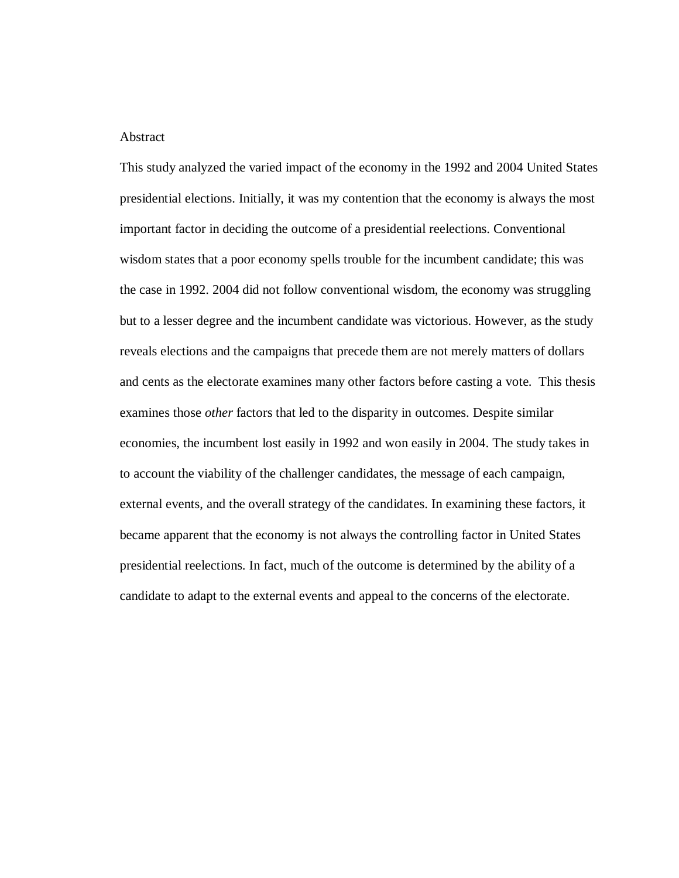#### Abstract

This study analyzed the varied impact of the economy in the 1992 and 2004 United States presidential elections. Initially, it was my contention that the economy is always the most important factor in deciding the outcome of a presidential reelections. Conventional wisdom states that a poor economy spells trouble for the incumbent candidate; this was the case in 1992. 2004 did not follow conventional wisdom, the economy was struggling but to a lesser degree and the incumbent candidate was victorious. However, as the study reveals elections and the campaigns that precede them are not merely matters of dollars and cents as the electorate examines many other factors before casting a vote. This thesis examines those *other* factors that led to the disparity in outcomes. Despite similar economies, the incumbent lost easily in 1992 and won easily in 2004. The study takes in to account the viability of the challenger candidates, the message of each campaign, external events, and the overall strategy of the candidates. In examining these factors, it became apparent that the economy is not always the controlling factor in United States presidential reelections. In fact, much of the outcome is determined by the ability of a candidate to adapt to the external events and appeal to the concerns of the electorate.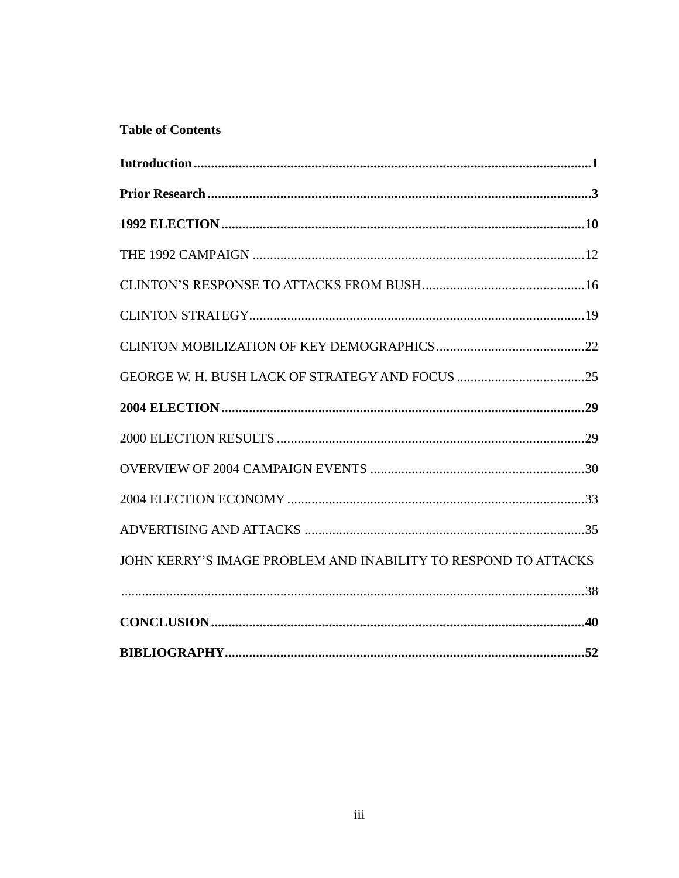# **Table of Contents**

| $\label{prop:nonlinear} \textbf{Introduction} \textcolor{red}{\textbf{.\textbf{1}}}\textbf{.\textbf{1}}$ |  |
|----------------------------------------------------------------------------------------------------------|--|
|                                                                                                          |  |
|                                                                                                          |  |
|                                                                                                          |  |
|                                                                                                          |  |
|                                                                                                          |  |
|                                                                                                          |  |
|                                                                                                          |  |
|                                                                                                          |  |
|                                                                                                          |  |
|                                                                                                          |  |
|                                                                                                          |  |
|                                                                                                          |  |
| JOHN KERRY'S IMAGE PROBLEM AND INABILITY TO RESPOND TO ATTACKS                                           |  |
|                                                                                                          |  |
|                                                                                                          |  |
|                                                                                                          |  |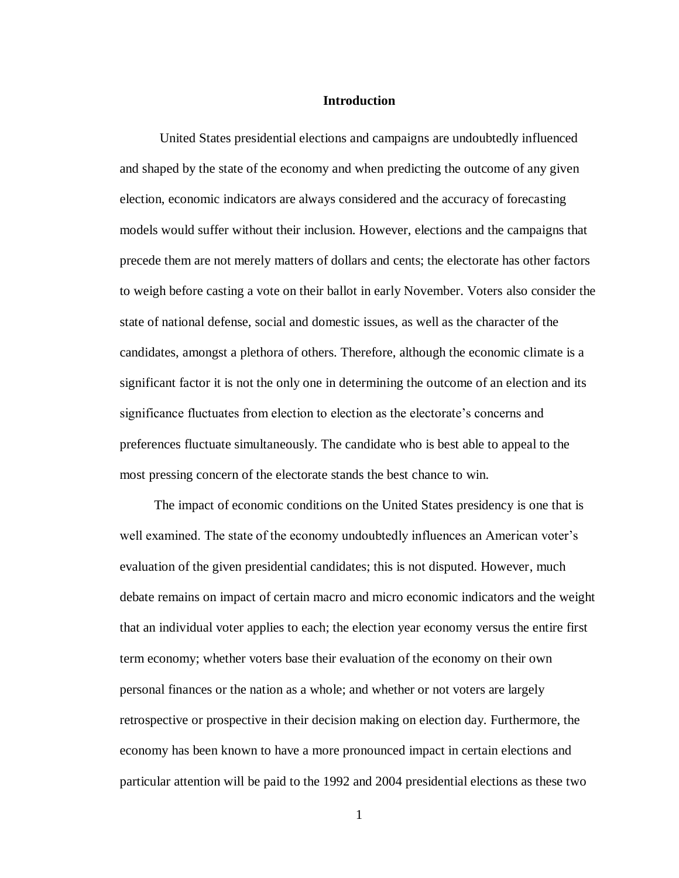#### **Introduction**

United States presidential elections and campaigns are undoubtedly influenced and shaped by the state of the economy and when predicting the outcome of any given election, economic indicators are always considered and the accuracy of forecasting models would suffer without their inclusion. However, elections and the campaigns that precede them are not merely matters of dollars and cents; the electorate has other factors to weigh before casting a vote on their ballot in early November. Voters also consider the state of national defense, social and domestic issues, as well as the character of the candidates, amongst a plethora of others. Therefore, although the economic climate is a significant factor it is not the only one in determining the outcome of an election and its significance fluctuates from election to election as the electorate's concerns and preferences fluctuate simultaneously. The candidate who is best able to appeal to the most pressing concern of the electorate stands the best chance to win.

The impact of economic conditions on the United States presidency is one that is well examined. The state of the economy undoubtedly influences an American voter's evaluation of the given presidential candidates; this is not disputed. However, much debate remains on impact of certain macro and micro economic indicators and the weight that an individual voter applies to each; the election year economy versus the entire first term economy; whether voters base their evaluation of the economy on their own personal finances or the nation as a whole; and whether or not voters are largely retrospective or prospective in their decision making on election day. Furthermore, the economy has been known to have a more pronounced impact in certain elections and particular attention will be paid to the 1992 and 2004 presidential elections as these two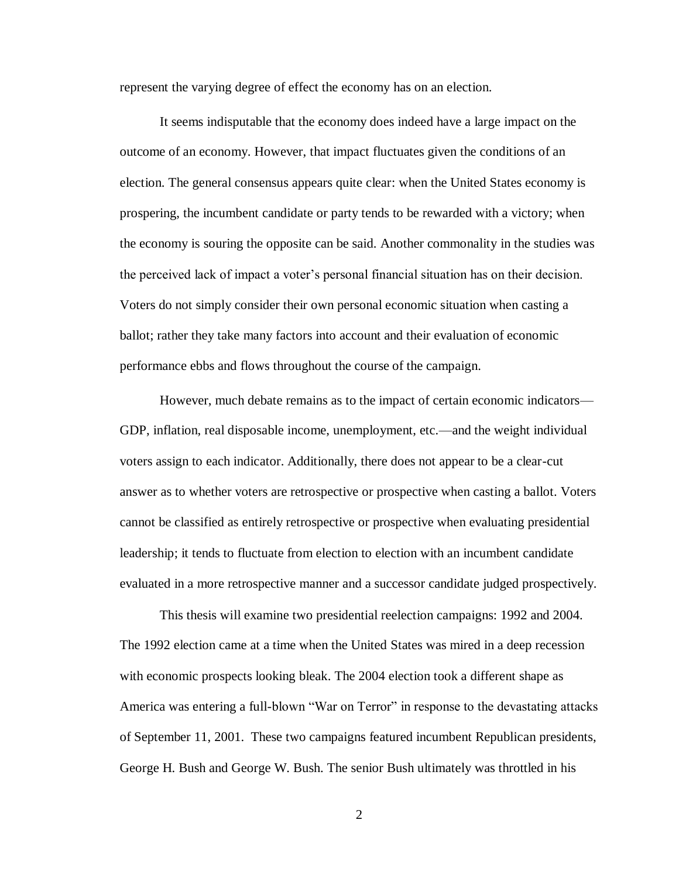represent the varying degree of effect the economy has on an election.

It seems indisputable that the economy does indeed have a large impact on the outcome of an economy. However, that impact fluctuates given the conditions of an election. The general consensus appears quite clear: when the United States economy is prospering, the incumbent candidate or party tends to be rewarded with a victory; when the economy is souring the opposite can be said. Another commonality in the studies was the perceived lack of impact a voter's personal financial situation has on their decision. Voters do not simply consider their own personal economic situation when casting a ballot; rather they take many factors into account and their evaluation of economic performance ebbs and flows throughout the course of the campaign.

However, much debate remains as to the impact of certain economic indicators— GDP, inflation, real disposable income, unemployment, etc.—and the weight individual voters assign to each indicator. Additionally, there does not appear to be a clear-cut answer as to whether voters are retrospective or prospective when casting a ballot. Voters cannot be classified as entirely retrospective or prospective when evaluating presidential leadership; it tends to fluctuate from election to election with an incumbent candidate evaluated in a more retrospective manner and a successor candidate judged prospectively.

This thesis will examine two presidential reelection campaigns: 1992 and 2004. The 1992 election came at a time when the United States was mired in a deep recession with economic prospects looking bleak. The 2004 election took a different shape as America was entering a full-blown "War on Terror" in response to the devastating attacks of September 11, 2001. These two campaigns featured incumbent Republican presidents, George H. Bush and George W. Bush. The senior Bush ultimately was throttled in his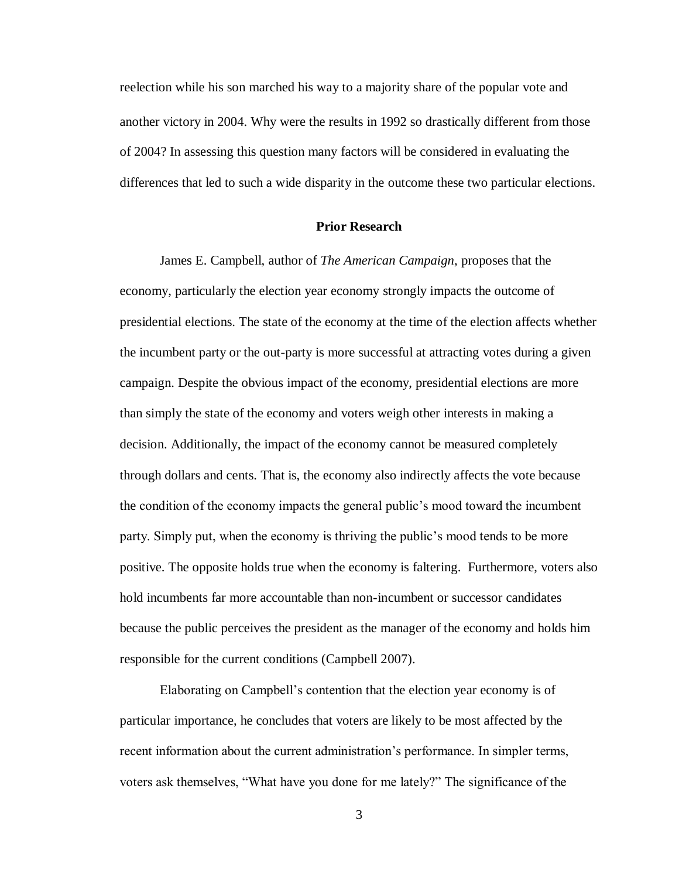reelection while his son marched his way to a majority share of the popular vote and another victory in 2004. Why were the results in 1992 so drastically different from those of 2004? In assessing this question many factors will be considered in evaluating the differences that led to such a wide disparity in the outcome these two particular elections.

#### **Prior Research**

James E. Campbell, author of *The American Campaign*, proposes that the economy, particularly the election year economy strongly impacts the outcome of presidential elections. The state of the economy at the time of the election affects whether the incumbent party or the out-party is more successful at attracting votes during a given campaign. Despite the obvious impact of the economy, presidential elections are more than simply the state of the economy and voters weigh other interests in making a decision. Additionally, the impact of the economy cannot be measured completely through dollars and cents. That is, the economy also indirectly affects the vote because the condition of the economy impacts the general public's mood toward the incumbent party. Simply put, when the economy is thriving the public's mood tends to be more positive. The opposite holds true when the economy is faltering. Furthermore, voters also hold incumbents far more accountable than non-incumbent or successor candidates because the public perceives the president as the manager of the economy and holds him responsible for the current conditions (Campbell 2007).

Elaborating on Campbell's contention that the election year economy is of particular importance, he concludes that voters are likely to be most affected by the recent information about the current administration's performance. In simpler terms, voters ask themselves, "What have you done for me lately?" The significance of the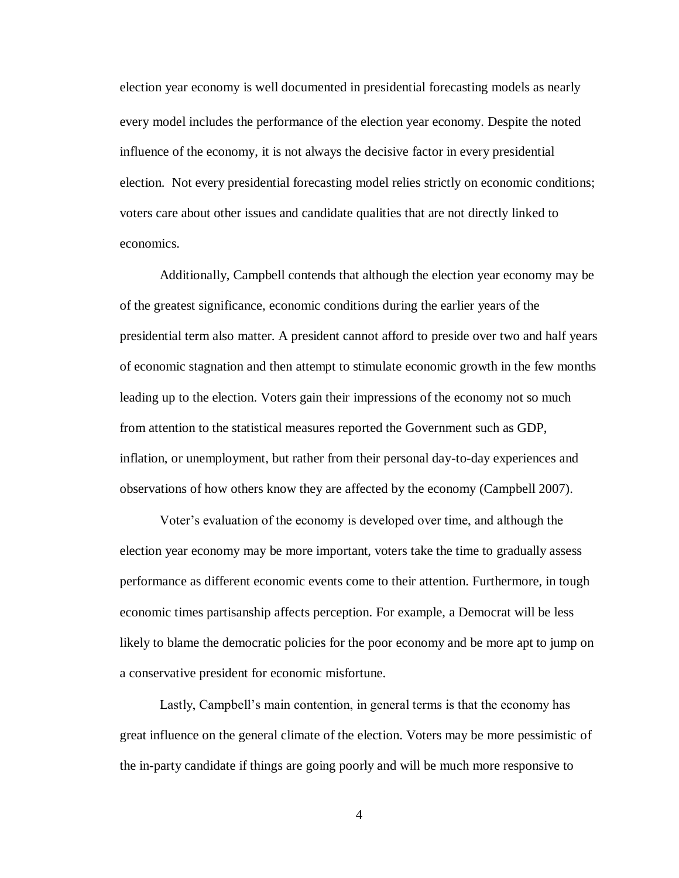election year economy is well documented in presidential forecasting models as nearly every model includes the performance of the election year economy. Despite the noted influence of the economy, it is not always the decisive factor in every presidential election. Not every presidential forecasting model relies strictly on economic conditions; voters care about other issues and candidate qualities that are not directly linked to economics.

Additionally, Campbell contends that although the election year economy may be of the greatest significance, economic conditions during the earlier years of the presidential term also matter. A president cannot afford to preside over two and half years of economic stagnation and then attempt to stimulate economic growth in the few months leading up to the election. Voters gain their impressions of the economy not so much from attention to the statistical measures reported the Government such as GDP, inflation, or unemployment, but rather from their personal day-to-day experiences and observations of how others know they are affected by the economy (Campbell 2007).

Voter's evaluation of the economy is developed over time, and although the election year economy may be more important, voters take the time to gradually assess performance as different economic events come to their attention. Furthermore, in tough economic times partisanship affects perception. For example, a Democrat will be less likely to blame the democratic policies for the poor economy and be more apt to jump on a conservative president for economic misfortune.

Lastly, Campbell's main contention, in general terms is that the economy has great influence on the general climate of the election. Voters may be more pessimistic of the in-party candidate if things are going poorly and will be much more responsive to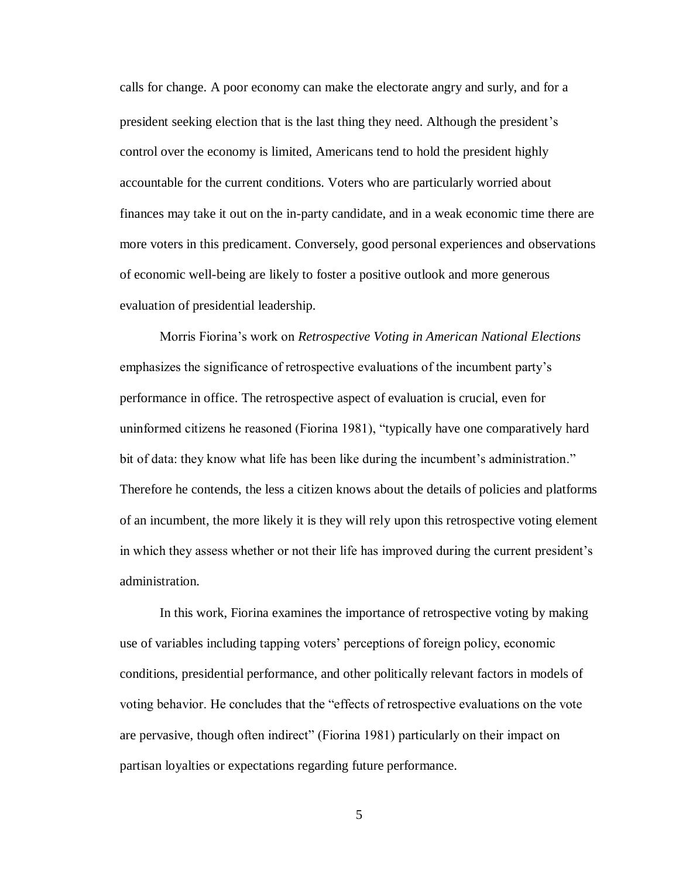calls for change. A poor economy can make the electorate angry and surly, and for a president seeking election that is the last thing they need. Although the president's control over the economy is limited, Americans tend to hold the president highly accountable for the current conditions. Voters who are particularly worried about finances may take it out on the in-party candidate, and in a weak economic time there are more voters in this predicament. Conversely, good personal experiences and observations of economic well-being are likely to foster a positive outlook and more generous evaluation of presidential leadership.

Morris Fiorina's work on *Retrospective Voting in American National Elections*  emphasizes the significance of retrospective evaluations of the incumbent party's performance in office. The retrospective aspect of evaluation is crucial, even for uninformed citizens he reasoned (Fiorina 1981), "typically have one comparatively hard bit of data: they know what life has been like during the incumbent's administration." Therefore he contends, the less a citizen knows about the details of policies and platforms of an incumbent, the more likely it is they will rely upon this retrospective voting element in which they assess whether or not their life has improved during the current president's administration.

In this work, Fiorina examines the importance of retrospective voting by making use of variables including tapping voters' perceptions of foreign policy, economic conditions, presidential performance, and other politically relevant factors in models of voting behavior. He concludes that the "effects of retrospective evaluations on the vote are pervasive, though often indirect" (Fiorina 1981) particularly on their impact on partisan loyalties or expectations regarding future performance.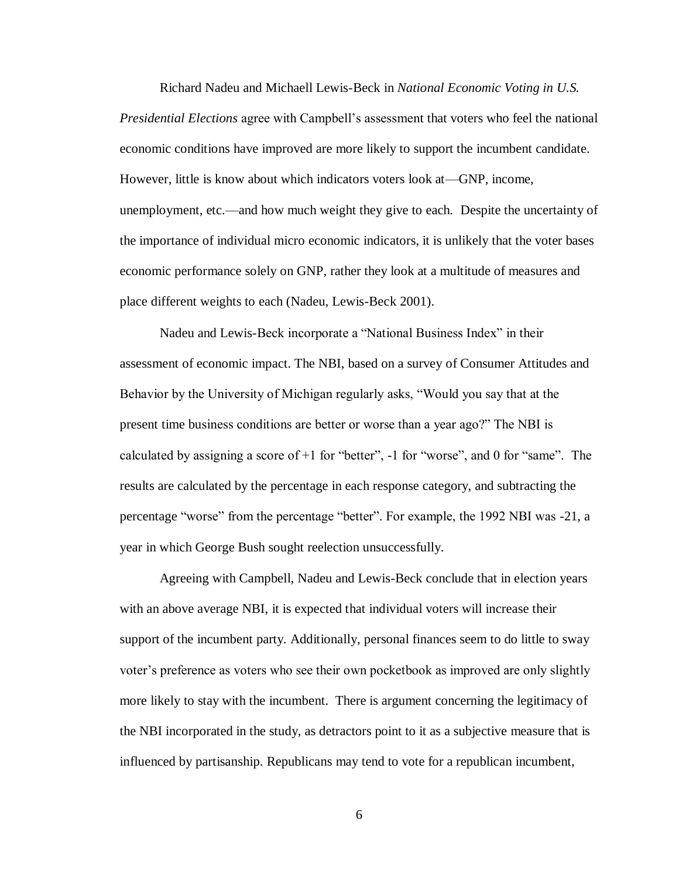Richard Nadeu and Michaell Lewis-Beck in *National Economic Voting in U.S. Presidential Elections* agree with Campbell's assessment that voters who feel the national economic conditions have improved are more likely to support the incumbent candidate. However, little is know about which indicators voters look at—GNP, income, unemployment, etc.—and how much weight they give to each. Despite the uncertainty of the importance of individual micro economic indicators, it is unlikely that the voter bases economic performance solely on GNP, rather they look at a multitude of measures and place different weights to each (Nadeu, Lewis-Beck 2001).

Nadeu and Lewis-Beck incorporate a "National Business Index" in their assessment of economic impact. The NBI, based on a survey of Consumer Attitudes and Behavior by the University of Michigan regularly asks, "Would you say that at the present time business conditions are better or worse than a year ago?" The NBI is calculated by assigning a score of  $+1$  for "better",  $-1$  for "worse", and 0 for "same". The results are calculated by the percentage in each response category, and subtracting the percentage "worse" from the percentage "better". For example, the 1992 NBI was -21, a year in which George Bush sought reelection unsuccessfully.

Agreeing with Campbell, Nadeu and Lewis-Beck conclude that in election years with an above average NBI, it is expected that individual voters will increase their support of the incumbent party. Additionally, personal finances seem to do little to sway voter's preference as voters who see their own pocketbook as improved are only slightly more likely to stay with the incumbent. There is argument concerning the legitimacy of the NBI incorporated in the study, as detractors point to it as a subjective measure that is influenced by partisanship. Republicans may tend to vote for a republican incumbent,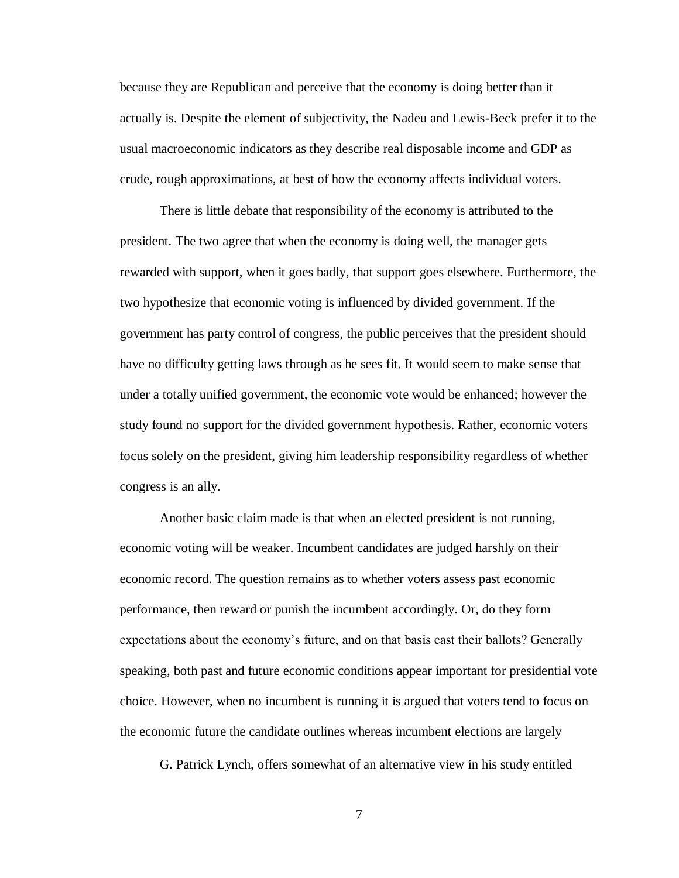because they are Republican and perceive that the economy is doing better than it actually is. Despite the element of subjectivity, the Nadeu and Lewis-Beck prefer it to the usual macroeconomic indicators as they describe real disposable income and GDP as crude, rough approximations, at best of how the economy affects individual voters.

There is little debate that responsibility of the economy is attributed to the president. The two agree that when the economy is doing well, the manager gets rewarded with support, when it goes badly, that support goes elsewhere. Furthermore, the two hypothesize that economic voting is influenced by divided government. If the government has party control of congress, the public perceives that the president should have no difficulty getting laws through as he sees fit. It would seem to make sense that under a totally unified government, the economic vote would be enhanced; however the study found no support for the divided government hypothesis. Rather, economic voters focus solely on the president, giving him leadership responsibility regardless of whether congress is an ally.

Another basic claim made is that when an elected president is not running, economic voting will be weaker. Incumbent candidates are judged harshly on their economic record. The question remains as to whether voters assess past economic performance, then reward or punish the incumbent accordingly. Or, do they form expectations about the economy's future, and on that basis cast their ballots? Generally speaking, both past and future economic conditions appear important for presidential vote choice. However, when no incumbent is running it is argued that voters tend to focus on the economic future the candidate outlines whereas incumbent elections are largely

G. Patrick Lynch, offers somewhat of an alternative view in his study entitled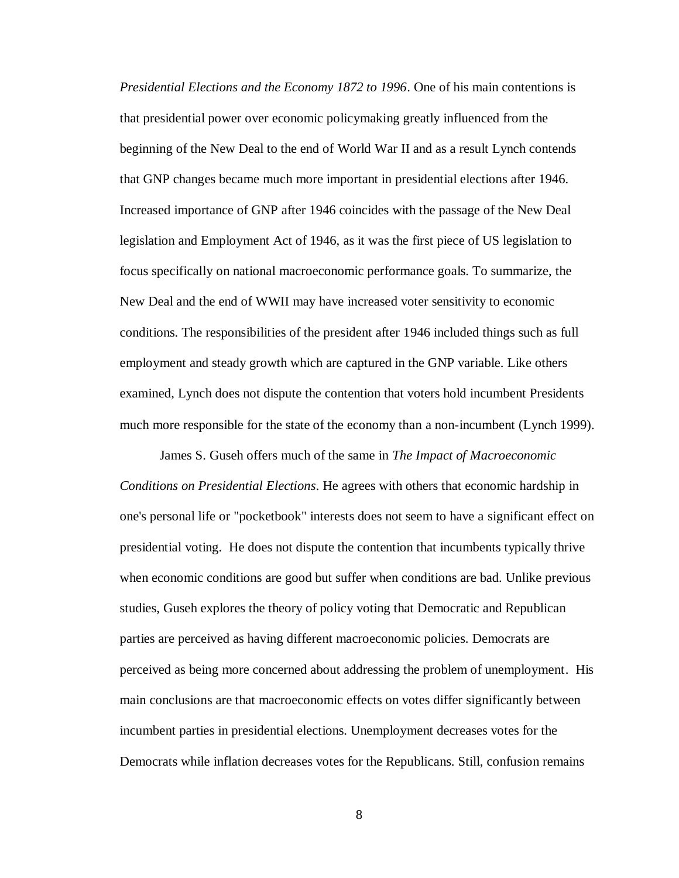*Presidential Elections and the Economy 1872 to 1996*. One of his main contentions is that presidential power over economic policymaking greatly influenced from the beginning of the New Deal to the end of World War II and as a result Lynch contends that GNP changes became much more important in presidential elections after 1946. Increased importance of GNP after 1946 coincides with the passage of the New Deal legislation and Employment Act of 1946, as it was the first piece of US legislation to focus specifically on national macroeconomic performance goals. To summarize, the New Deal and the end of WWII may have increased voter sensitivity to economic conditions. The responsibilities of the president after 1946 included things such as full employment and steady growth which are captured in the GNP variable. Like others examined, Lynch does not dispute the contention that voters hold incumbent Presidents much more responsible for the state of the economy than a non-incumbent (Lynch 1999).

James S. Guseh offers much of the same in *The Impact of Macroeconomic Conditions on Presidential Elections*. He agrees with others that economic hardship in one's personal life or "pocketbook" interests does not seem to have a significant effect on presidential voting. He does not dispute the contention that incumbents typically thrive when economic conditions are good but suffer when conditions are bad. Unlike previous studies, Guseh explores the theory of policy voting that Democratic and Republican parties are perceived as having different macroeconomic policies. Democrats are perceived as being more concerned about addressing the problem of unemployment. His main conclusions are that macroeconomic effects on votes differ significantly between incumbent parties in presidential elections. Unemployment decreases votes for the Democrats while inflation decreases votes for the Republicans. Still, confusion remains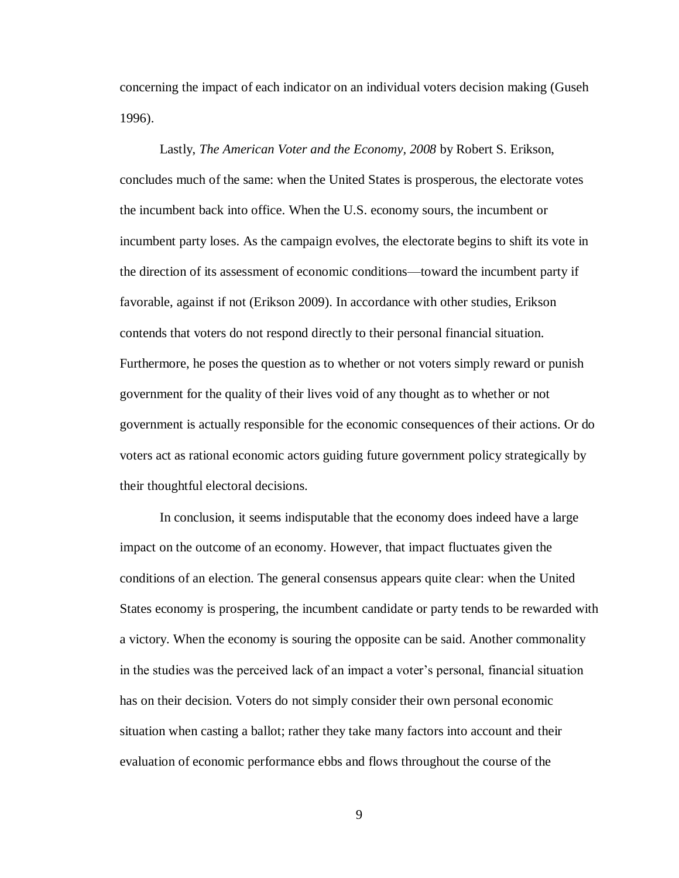concerning the impact of each indicator on an individual voters decision making (Guseh 1996).

Lastly, *The American Voter and the Economy, 2008* by Robert S. Erikson, concludes much of the same: when the United States is prosperous, the electorate votes the incumbent back into office. When the U.S. economy sours, the incumbent or incumbent party loses. As the campaign evolves, the electorate begins to shift its vote in the direction of its assessment of economic conditions—toward the incumbent party if favorable, against if not (Erikson 2009). In accordance with other studies, Erikson contends that voters do not respond directly to their personal financial situation. Furthermore, he poses the question as to whether or not voters simply reward or punish government for the quality of their lives void of any thought as to whether or not government is actually responsible for the economic consequences of their actions. Or do voters act as rational economic actors guiding future government policy strategically by their thoughtful electoral decisions.

In conclusion, it seems indisputable that the economy does indeed have a large impact on the outcome of an economy. However, that impact fluctuates given the conditions of an election. The general consensus appears quite clear: when the United States economy is prospering, the incumbent candidate or party tends to be rewarded with a victory. When the economy is souring the opposite can be said. Another commonality in the studies was the perceived lack of an impact a voter's personal, financial situation has on their decision. Voters do not simply consider their own personal economic situation when casting a ballot; rather they take many factors into account and their evaluation of economic performance ebbs and flows throughout the course of the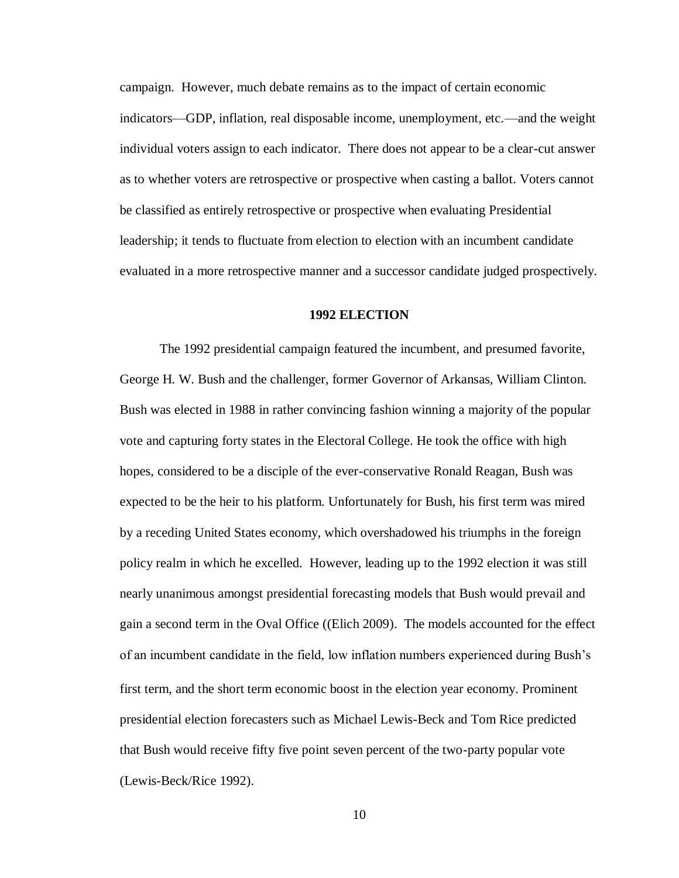campaign. However, much debate remains as to the impact of certain economic indicators—GDP, inflation, real disposable income, unemployment, etc.—and the weight individual voters assign to each indicator. There does not appear to be a clear-cut answer as to whether voters are retrospective or prospective when casting a ballot. Voters cannot be classified as entirely retrospective or prospective when evaluating Presidential leadership; it tends to fluctuate from election to election with an incumbent candidate evaluated in a more retrospective manner and a successor candidate judged prospectively.

#### **1992 ELECTION**

The 1992 presidential campaign featured the incumbent, and presumed favorite, George H. W. Bush and the challenger, former Governor of Arkansas, William Clinton. Bush was elected in 1988 in rather convincing fashion winning a majority of the popular vote and capturing forty states in the Electoral College. He took the office with high hopes, considered to be a disciple of the ever-conservative Ronald Reagan, Bush was expected to be the heir to his platform. Unfortunately for Bush, his first term was mired by a receding United States economy, which overshadowed his triumphs in the foreign policy realm in which he excelled. However, leading up to the 1992 election it was still nearly unanimous amongst presidential forecasting models that Bush would prevail and gain a second term in the Oval Office ((Elich 2009). The models accounted for the effect of an incumbent candidate in the field, low inflation numbers experienced during Bush's first term, and the short term economic boost in the election year economy. Prominent presidential election forecasters such as Michael Lewis-Beck and Tom Rice predicted that Bush would receive fifty five point seven percent of the two-party popular vote (Lewis-Beck/Rice 1992).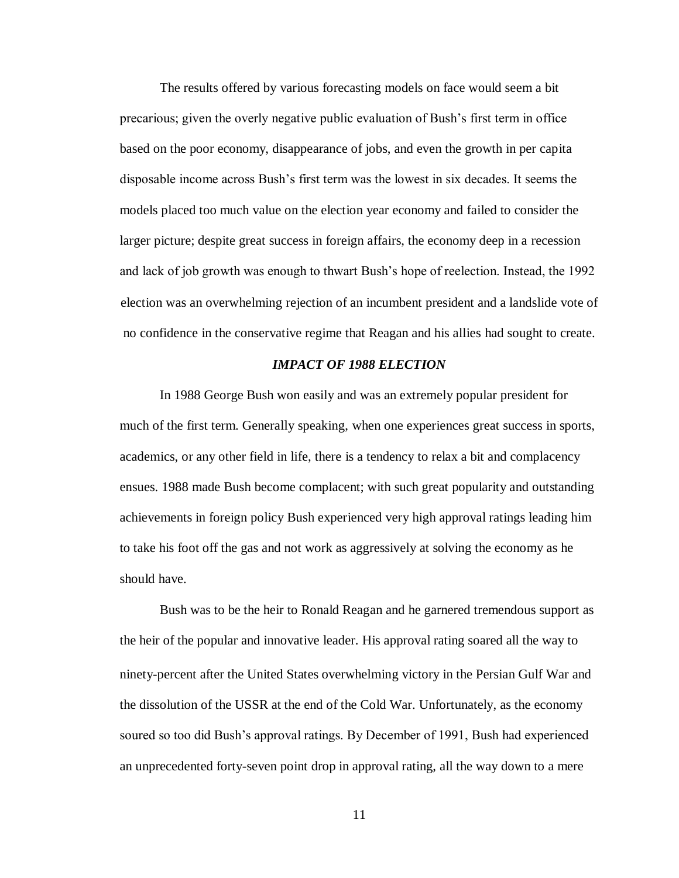The results offered by various forecasting models on face would seem a bit precarious; given the overly negative public evaluation of Bush's first term in office based on the poor economy, disappearance of jobs, and even the growth in per capita disposable income across Bush's first term was the lowest in six decades. It seems the models placed too much value on the election year economy and failed to consider the larger picture; despite great success in foreign affairs, the economy deep in a recession and lack of job growth was enough to thwart Bush's hope of reelection. Instead, the 1992 election was an overwhelming rejection of an incumbent president and a landslide vote of no confidence in the conservative regime that Reagan and his allies had sought to create.

#### *IMPACT OF 1988 ELECTION*

In 1988 George Bush won easily and was an extremely popular president for much of the first term. Generally speaking, when one experiences great success in sports, academics, or any other field in life, there is a tendency to relax a bit and complacency ensues. 1988 made Bush become complacent; with such great popularity and outstanding achievements in foreign policy Bush experienced very high approval ratings leading him to take his foot off the gas and not work as aggressively at solving the economy as he should have.

Bush was to be the heir to Ronald Reagan and he garnered tremendous support as the heir of the popular and innovative leader. His approval rating soared all the way to ninety-percent after the United States overwhelming victory in the Persian Gulf War and the dissolution of the USSR at the end of the Cold War. Unfortunately, as the economy soured so too did Bush's approval ratings. By December of 1991, Bush had experienced an unprecedented forty-seven point drop in approval rating, all the way down to a mere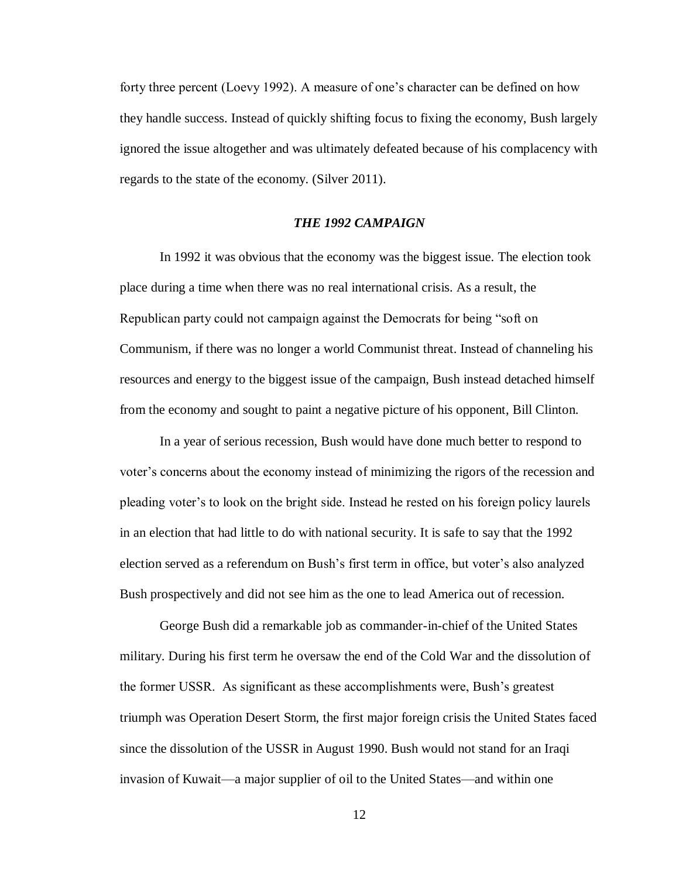forty three percent (Loevy 1992). A measure of one's character can be defined on how they handle success. Instead of quickly shifting focus to fixing the economy, Bush largely ignored the issue altogether and was ultimately defeated because of his complacency with regards to the state of the economy. (Silver 2011).

#### *THE 1992 CAMPAIGN*

In 1992 it was obvious that the economy was the biggest issue. The election took place during a time when there was no real international crisis. As a result, the Republican party could not campaign against the Democrats for being "soft on Communism, if there was no longer a world Communist threat. Instead of channeling his resources and energy to the biggest issue of the campaign, Bush instead detached himself from the economy and sought to paint a negative picture of his opponent, Bill Clinton.

In a year of serious recession, Bush would have done much better to respond to voter's concerns about the economy instead of minimizing the rigors of the recession and pleading voter's to look on the bright side. Instead he rested on his foreign policy laurels in an election that had little to do with national security. It is safe to say that the 1992 election served as a referendum on Bush's first term in office, but voter's also analyzed Bush prospectively and did not see him as the one to lead America out of recession.

George Bush did a remarkable job as commander-in-chief of the United States military. During his first term he oversaw the end of the Cold War and the dissolution of the former USSR. As significant as these accomplishments were, Bush's greatest triumph was Operation Desert Storm, the first major foreign crisis the United States faced since the dissolution of the USSR in August 1990. Bush would not stand for an Iraqi invasion of Kuwait—a major supplier of oil to the United States—and within one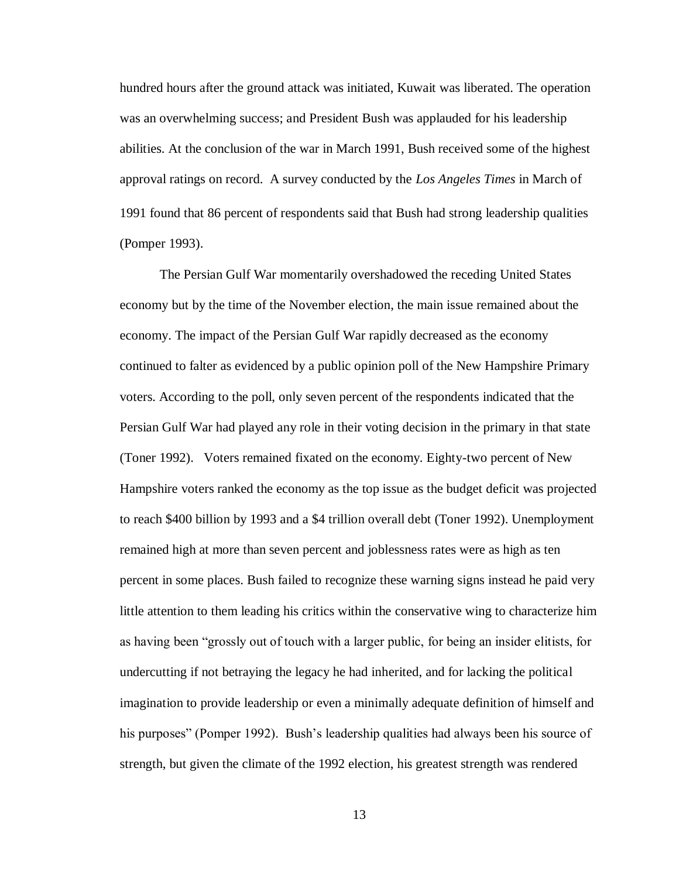hundred hours after the ground attack was initiated, Kuwait was liberated. The operation was an overwhelming success; and President Bush was applauded for his leadership abilities. At the conclusion of the war in March 1991, Bush received some of the highest approval ratings on record. A survey conducted by the *Los Angeles Times* in March of 1991 found that 86 percent of respondents said that Bush had strong leadership qualities (Pomper 1993).

The Persian Gulf War momentarily overshadowed the receding United States economy but by the time of the November election, the main issue remained about the economy. The impact of the Persian Gulf War rapidly decreased as the economy continued to falter as evidenced by a public opinion poll of the New Hampshire Primary voters. According to the poll, only seven percent of the respondents indicated that the Persian Gulf War had played any role in their voting decision in the primary in that state (Toner 1992). Voters remained fixated on the economy. Eighty-two percent of New Hampshire voters ranked the economy as the top issue as the budget deficit was projected to reach \$400 billion by 1993 and a \$4 trillion overall debt (Toner 1992). Unemployment remained high at more than seven percent and joblessness rates were as high as ten percent in some places. Bush failed to recognize these warning signs instead he paid very little attention to them leading his critics within the conservative wing to characterize him as having been "grossly out of touch with a larger public, for being an insider elitists, for undercutting if not betraying the legacy he had inherited, and for lacking the political imagination to provide leadership or even a minimally adequate definition of himself and his purposes" (Pomper 1992). Bush's leadership qualities had always been his source of strength, but given the climate of the 1992 election, his greatest strength was rendered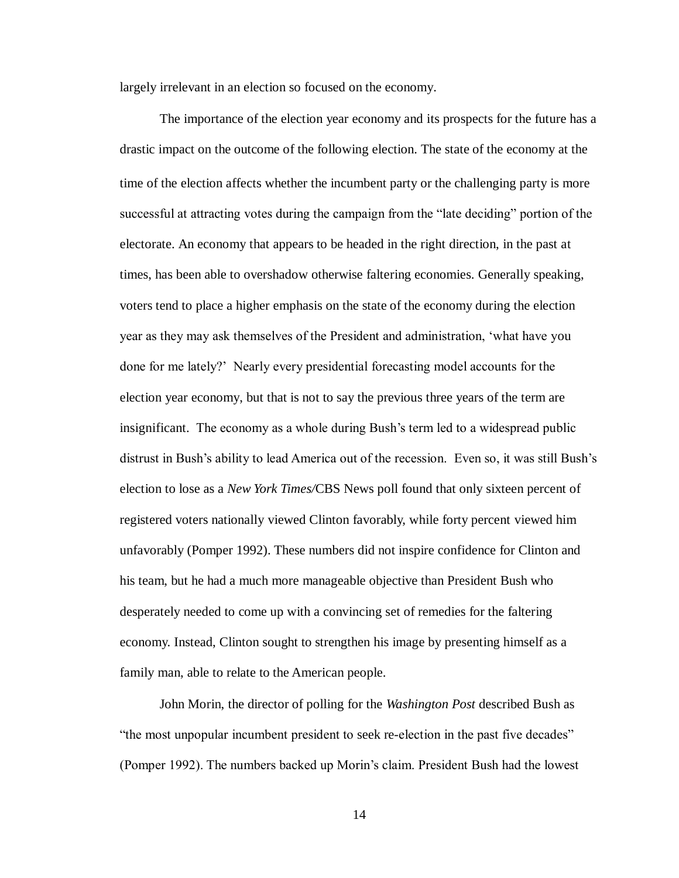largely irrelevant in an election so focused on the economy.

The importance of the election year economy and its prospects for the future has a drastic impact on the outcome of the following election. The state of the economy at the time of the election affects whether the incumbent party or the challenging party is more successful at attracting votes during the campaign from the "late deciding" portion of the electorate. An economy that appears to be headed in the right direction, in the past at times, has been able to overshadow otherwise faltering economies. Generally speaking, voters tend to place a higher emphasis on the state of the economy during the election year as they may ask themselves of the President and administration, 'what have you done for me lately?' Nearly every presidential forecasting model accounts for the election year economy, but that is not to say the previous three years of the term are insignificant. The economy as a whole during Bush's term led to a widespread public distrust in Bush's ability to lead America out of the recession. Even so, it was still Bush's election to lose as a *New York Times/*CBS News poll found that only sixteen percent of registered voters nationally viewed Clinton favorably, while forty percent viewed him unfavorably (Pomper 1992). These numbers did not inspire confidence for Clinton and his team, but he had a much more manageable objective than President Bush who desperately needed to come up with a convincing set of remedies for the faltering economy. Instead, Clinton sought to strengthen his image by presenting himself as a family man, able to relate to the American people.

John Morin, the director of polling for the *Washington Post* described Bush as "the most unpopular incumbent president to seek re-election in the past five decades" (Pomper 1992). The numbers backed up Morin's claim. President Bush had the lowest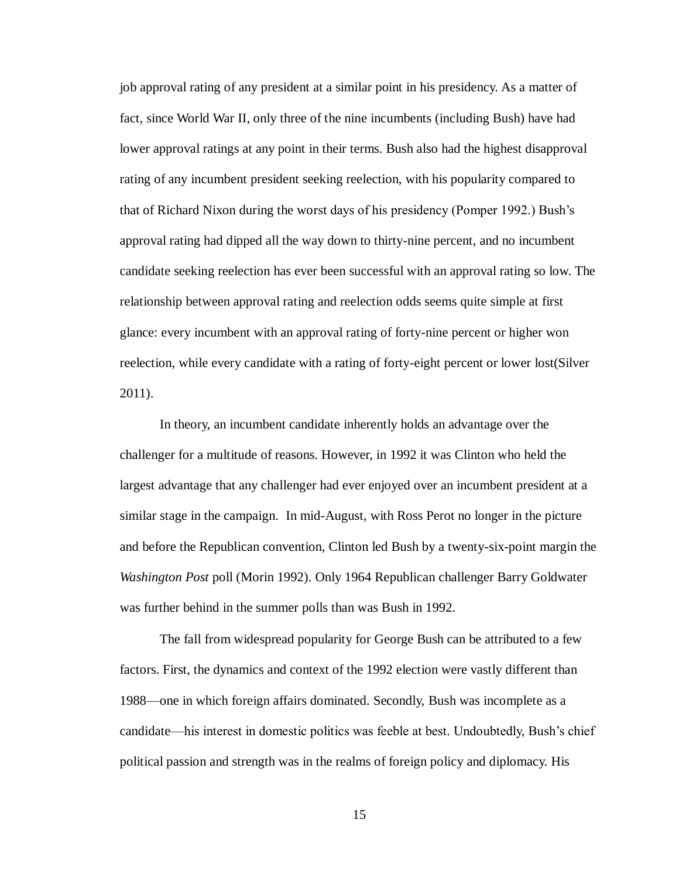job approval rating of any president at a similar point in his presidency. As a matter of fact, since World War II, only three of the nine incumbents (including Bush) have had lower approval ratings at any point in their terms. Bush also had the highest disapproval rating of any incumbent president seeking reelection, with his popularity compared to that of Richard Nixon during the worst days of his presidency (Pomper 1992.) Bush's approval rating had dipped all the way down to thirty-nine percent, and no incumbent candidate seeking reelection has ever been successful with an approval rating so low. The relationship between approval rating and reelection odds seems quite simple at first glance: every incumbent with an approval rating of forty-nine percent or higher won reelection, while every candidate with a rating of forty-eight percent or lower lost(Silver 2011).

In theory, an incumbent candidate inherently holds an advantage over the challenger for a multitude of reasons. However, in 1992 it was Clinton who held the largest advantage that any challenger had ever enjoyed over an incumbent president at a similar stage in the campaign. In mid-August, with Ross Perot no longer in the picture and before the Republican convention, Clinton led Bush by a twenty-six-point margin the *Washington Post* poll (Morin 1992). Only 1964 Republican challenger Barry Goldwater was further behind in the summer polls than was Bush in 1992.

The fall from widespread popularity for George Bush can be attributed to a few factors. First, the dynamics and context of the 1992 election were vastly different than 1988—one in which foreign affairs dominated. Secondly, Bush was incomplete as a candidate—his interest in domestic politics was feeble at best. Undoubtedly, Bush's chief political passion and strength was in the realms of foreign policy and diplomacy. His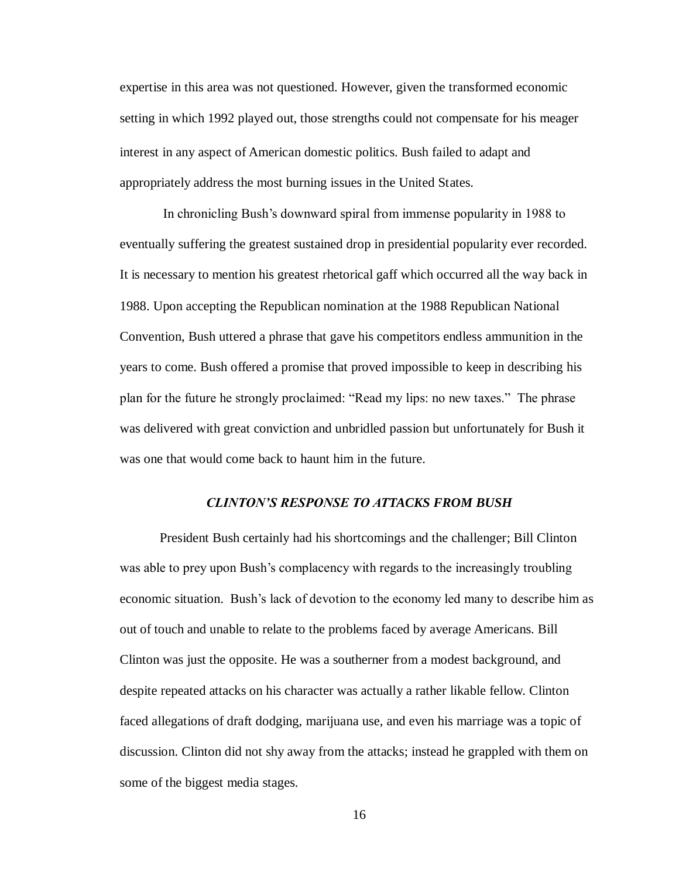expertise in this area was not questioned. However, given the transformed economic setting in which 1992 played out, those strengths could not compensate for his meager interest in any aspect of American domestic politics. Bush failed to adapt and appropriately address the most burning issues in the United States.

In chronicling Bush's downward spiral from immense popularity in 1988 to eventually suffering the greatest sustained drop in presidential popularity ever recorded. It is necessary to mention his greatest rhetorical gaff which occurred all the way back in 1988. Upon accepting the Republican nomination at the 1988 Republican National Convention, Bush uttered a phrase that gave his competitors endless ammunition in the years to come. Bush offered a promise that proved impossible to keep in describing his plan for the future he strongly proclaimed: "Read my lips: no new taxes." The phrase was delivered with great conviction and unbridled passion but unfortunately for Bush it was one that would come back to haunt him in the future.

## *CLINTON'S RESPONSE TO ATTACKS FROM BUSH*

President Bush certainly had his shortcomings and the challenger; Bill Clinton was able to prey upon Bush's complacency with regards to the increasingly troubling economic situation. Bush's lack of devotion to the economy led many to describe him as out of touch and unable to relate to the problems faced by average Americans. Bill Clinton was just the opposite. He was a southerner from a modest background, and despite repeated attacks on his character was actually a rather likable fellow. Clinton faced allegations of draft dodging, marijuana use, and even his marriage was a topic of discussion. Clinton did not shy away from the attacks; instead he grappled with them on some of the biggest media stages.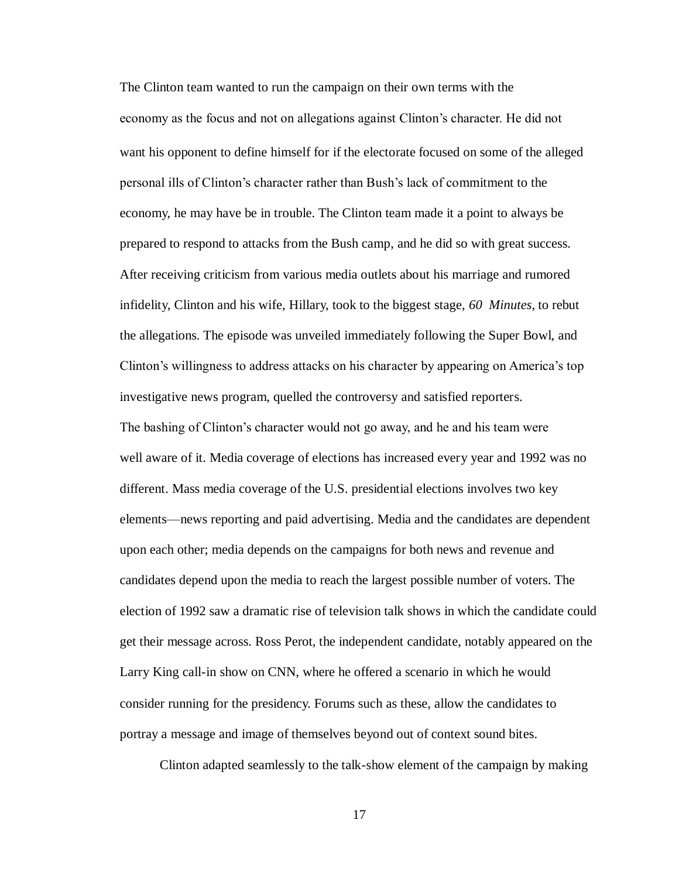The Clinton team wanted to run the campaign on their own terms with the economy as the focus and not on allegations against Clinton's character. He did not want his opponent to define himself for if the electorate focused on some of the alleged personal ills of Clinton's character rather than Bush's lack of commitment to the economy, he may have be in trouble. The Clinton team made it a point to always be prepared to respond to attacks from the Bush camp, and he did so with great success. After receiving criticism from various media outlets about his marriage and rumored infidelity, Clinton and his wife, Hillary, took to the biggest stage, *60 Minutes*, to rebut the allegations. The episode was unveiled immediately following the Super Bowl, and Clinton's willingness to address attacks on his character by appearing on America's top investigative news program, quelled the controversy and satisfied reporters. The bashing of Clinton's character would not go away, and he and his team were well aware of it. Media coverage of elections has increased every year and 1992 was no different. Mass media coverage of the U.S. presidential elections involves two key elements—news reporting and paid advertising. Media and the candidates are dependent upon each other; media depends on the campaigns for both news and revenue and candidates depend upon the media to reach the largest possible number of voters. The election of 1992 saw a dramatic rise of television talk shows in which the candidate could get their message across. Ross Perot, the independent candidate, notably appeared on the Larry King call-in show on CNN, where he offered a scenario in which he would consider running for the presidency. Forums such as these, allow the candidates to portray a message and image of themselves beyond out of context sound bites.

Clinton adapted seamlessly to the talk-show element of the campaign by making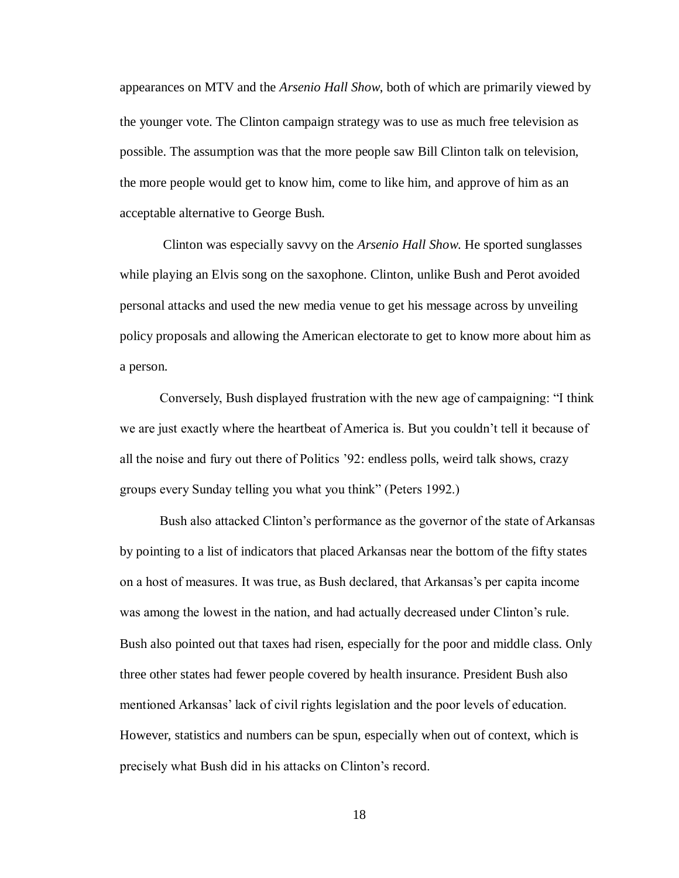appearances on MTV and the *Arsenio Hall Show*, both of which are primarily viewed by the younger vote. The Clinton campaign strategy was to use as much free television as possible. The assumption was that the more people saw Bill Clinton talk on television, the more people would get to know him, come to like him, and approve of him as an acceptable alternative to George Bush.

Clinton was especially savvy on the *Arsenio Hall Show*. He sported sunglasses while playing an Elvis song on the saxophone. Clinton, unlike Bush and Perot avoided personal attacks and used the new media venue to get his message across by unveiling policy proposals and allowing the American electorate to get to know more about him as a person.

Conversely, Bush displayed frustration with the new age of campaigning: "I think we are just exactly where the heartbeat of America is. But you couldn't tell it because of all the noise and fury out there of Politics '92: endless polls, weird talk shows, crazy groups every Sunday telling you what you think" (Peters 1992.)

Bush also attacked Clinton's performance as the governor of the state of Arkansas by pointing to a list of indicators that placed Arkansas near the bottom of the fifty states on a host of measures. It was true, as Bush declared, that Arkansas's per capita income was among the lowest in the nation, and had actually decreased under Clinton's rule. Bush also pointed out that taxes had risen, especially for the poor and middle class. Only three other states had fewer people covered by health insurance. President Bush also mentioned Arkansas' lack of civil rights legislation and the poor levels of education. However, statistics and numbers can be spun, especially when out of context, which is precisely what Bush did in his attacks on Clinton's record.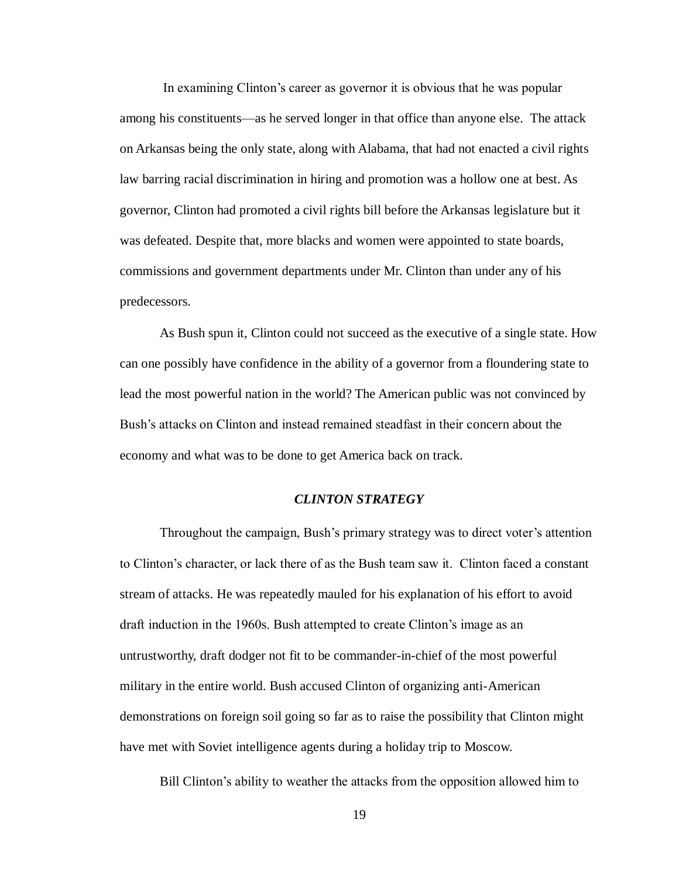In examining Clinton's career as governor it is obvious that he was popular among his constituents—as he served longer in that office than anyone else. The attack on Arkansas being the only state, along with Alabama, that had not enacted a civil rights law barring racial discrimination in hiring and promotion was a hollow one at best. As governor, Clinton had promoted a civil rights bill before the Arkansas legislature but it was defeated. Despite that, more blacks and women were appointed to state boards, commissions and government departments under Mr. Clinton than under any of his predecessors.

As Bush spun it, Clinton could not succeed as the executive of a single state. How can one possibly have confidence in the ability of a governor from a floundering state to lead the most powerful nation in the world? The American public was not convinced by Bush's attacks on Clinton and instead remained steadfast in their concern about the economy and what was to be done to get America back on track.

#### *CLINTON STRATEGY*

Throughout the campaign, Bush's primary strategy was to direct voter's attention to Clinton's character, or lack there of as the Bush team saw it. Clinton faced a constant stream of attacks. He was repeatedly mauled for his explanation of his effort to avoid draft induction in the 1960s. Bush attempted to create Clinton's image as an untrustworthy, draft dodger not fit to be commander-in-chief of the most powerful military in the entire world. Bush accused Clinton of organizing anti-American demonstrations on foreign soil going so far as to raise the possibility that Clinton might have met with Soviet intelligence agents during a holiday trip to Moscow.

Bill Clinton's ability to weather the attacks from the opposition allowed him to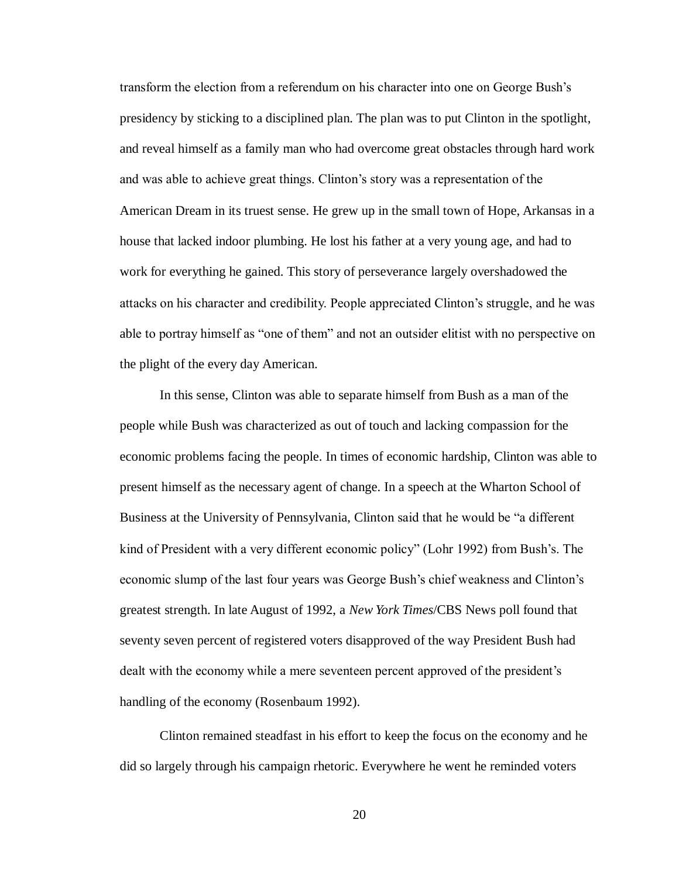transform the election from a referendum on his character into one on George Bush's presidency by sticking to a disciplined plan. The plan was to put Clinton in the spotlight, and reveal himself as a family man who had overcome great obstacles through hard work and was able to achieve great things. Clinton's story was a representation of the American Dream in its truest sense. He grew up in the small town of Hope, Arkansas in a house that lacked indoor plumbing. He lost his father at a very young age, and had to work for everything he gained. This story of perseverance largely overshadowed the attacks on his character and credibility. People appreciated Clinton's struggle, and he was able to portray himself as "one of them" and not an outsider elitist with no perspective on the plight of the every day American.

In this sense, Clinton was able to separate himself from Bush as a man of the people while Bush was characterized as out of touch and lacking compassion for the economic problems facing the people. In times of economic hardship, Clinton was able to present himself as the necessary agent of change. In a speech at the Wharton School of Business at the University of Pennsylvania, Clinton said that he would be "a different kind of President with a very different economic policy" (Lohr 1992) from Bush's. The economic slump of the last four years was George Bush's chief weakness and Clinton's greatest strength. In late August of 1992, a *New York Times*/CBS News poll found that seventy seven percent of registered voters disapproved of the way President Bush had dealt with the economy while a mere seventeen percent approved of the president's handling of the economy (Rosenbaum 1992).

Clinton remained steadfast in his effort to keep the focus on the economy and he did so largely through his campaign rhetoric. Everywhere he went he reminded voters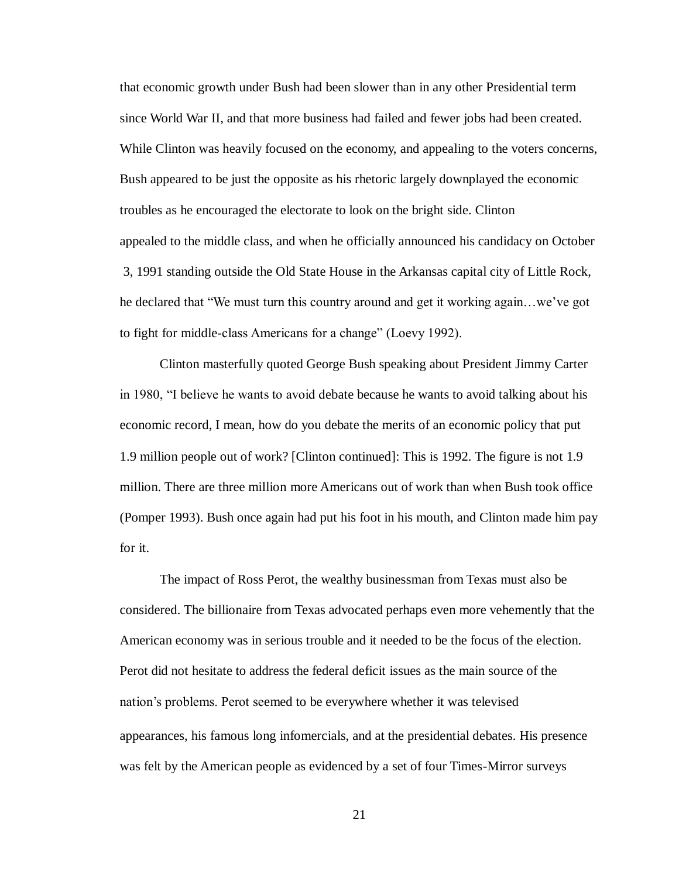that economic growth under Bush had been slower than in any other Presidential term since World War II, and that more business had failed and fewer jobs had been created. While Clinton was heavily focused on the economy, and appealing to the voters concerns, Bush appeared to be just the opposite as his rhetoric largely downplayed the economic troubles as he encouraged the electorate to look on the bright side. Clinton appealed to the middle class, and when he officially announced his candidacy on October 3, 1991 standing outside the Old State House in the Arkansas capital city of Little Rock, he declared that "We must turn this country around and get it working again…we've got to fight for middle-class Americans for a change" (Loevy 1992).

Clinton masterfully quoted George Bush speaking about President Jimmy Carter in 1980, "I believe he wants to avoid debate because he wants to avoid talking about his economic record, I mean, how do you debate the merits of an economic policy that put 1.9 million people out of work? [Clinton continued]: This is 1992. The figure is not 1.9 million. There are three million more Americans out of work than when Bush took office (Pomper 1993). Bush once again had put his foot in his mouth, and Clinton made him pay for it.

The impact of Ross Perot, the wealthy businessman from Texas must also be considered. The billionaire from Texas advocated perhaps even more vehemently that the American economy was in serious trouble and it needed to be the focus of the election. Perot did not hesitate to address the federal deficit issues as the main source of the nation's problems. Perot seemed to be everywhere whether it was televised appearances, his famous long infomercials, and at the presidential debates. His presence was felt by the American people as evidenced by a set of four Times-Mirror surveys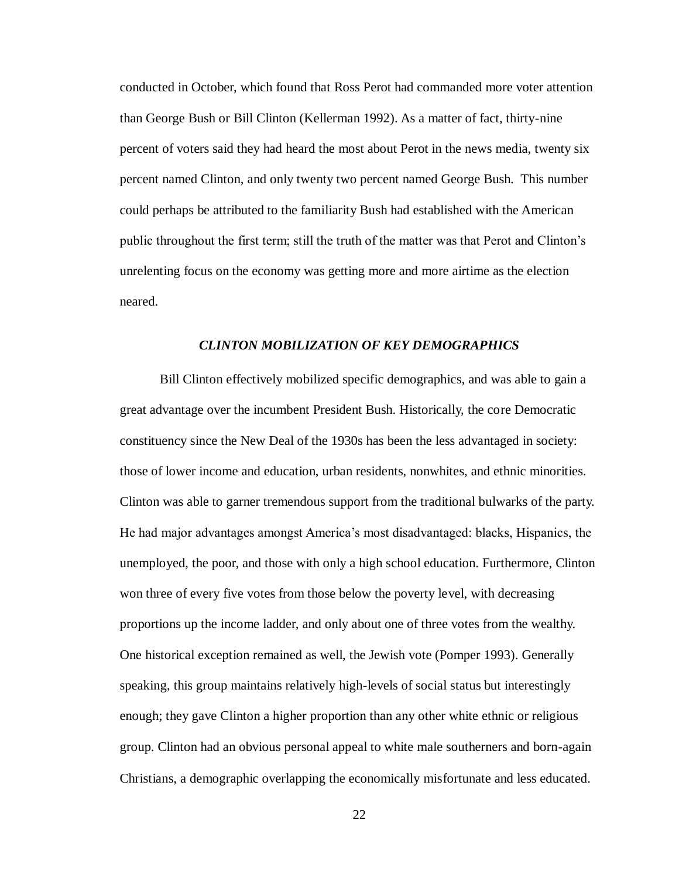conducted in October, which found that Ross Perot had commanded more voter attention than George Bush or Bill Clinton (Kellerman 1992). As a matter of fact, thirty-nine percent of voters said they had heard the most about Perot in the news media, twenty six percent named Clinton, and only twenty two percent named George Bush. This number could perhaps be attributed to the familiarity Bush had established with the American public throughout the first term; still the truth of the matter was that Perot and Clinton's unrelenting focus on the economy was getting more and more airtime as the election neared.

#### *CLINTON MOBILIZATION OF KEY DEMOGRAPHICS*

Bill Clinton effectively mobilized specific demographics, and was able to gain a great advantage over the incumbent President Bush. Historically, the core Democratic constituency since the New Deal of the 1930s has been the less advantaged in society: those of lower income and education, urban residents, nonwhites, and ethnic minorities. Clinton was able to garner tremendous support from the traditional bulwarks of the party. He had major advantages amongst America's most disadvantaged: blacks, Hispanics, the unemployed, the poor, and those with only a high school education. Furthermore, Clinton won three of every five votes from those below the poverty level, with decreasing proportions up the income ladder, and only about one of three votes from the wealthy. One historical exception remained as well, the Jewish vote (Pomper 1993). Generally speaking, this group maintains relatively high-levels of social status but interestingly enough; they gave Clinton a higher proportion than any other white ethnic or religious group. Clinton had an obvious personal appeal to white male southerners and born-again Christians, a demographic overlapping the economically misfortunate and less educated.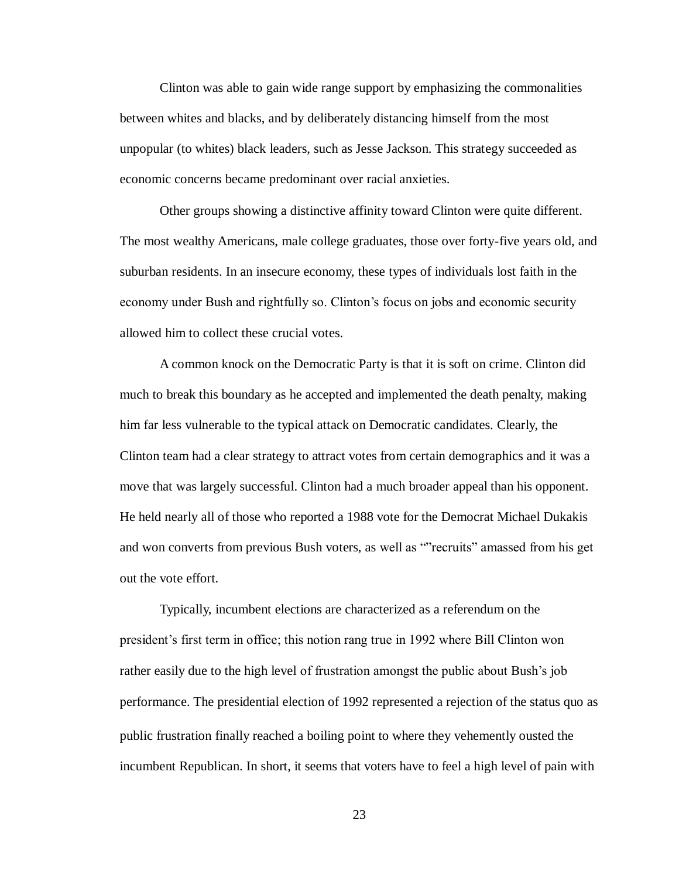Clinton was able to gain wide range support by emphasizing the commonalities between whites and blacks, and by deliberately distancing himself from the most unpopular (to whites) black leaders, such as Jesse Jackson. This strategy succeeded as economic concerns became predominant over racial anxieties.

Other groups showing a distinctive affinity toward Clinton were quite different. The most wealthy Americans, male college graduates, those over forty-five years old, and suburban residents. In an insecure economy, these types of individuals lost faith in the economy under Bush and rightfully so. Clinton's focus on jobs and economic security allowed him to collect these crucial votes.

A common knock on the Democratic Party is that it is soft on crime. Clinton did much to break this boundary as he accepted and implemented the death penalty, making him far less vulnerable to the typical attack on Democratic candidates. Clearly, the Clinton team had a clear strategy to attract votes from certain demographics and it was a move that was largely successful. Clinton had a much broader appeal than his opponent. He held nearly all of those who reported a 1988 vote for the Democrat Michael Dukakis and won converts from previous Bush voters, as well as ""recruits" amassed from his get out the vote effort.

Typically, incumbent elections are characterized as a referendum on the president's first term in office; this notion rang true in 1992 where Bill Clinton won rather easily due to the high level of frustration amongst the public about Bush's job performance. The presidential election of 1992 represented a rejection of the status quo as public frustration finally reached a boiling point to where they vehemently ousted the incumbent Republican. In short, it seems that voters have to feel a high level of pain with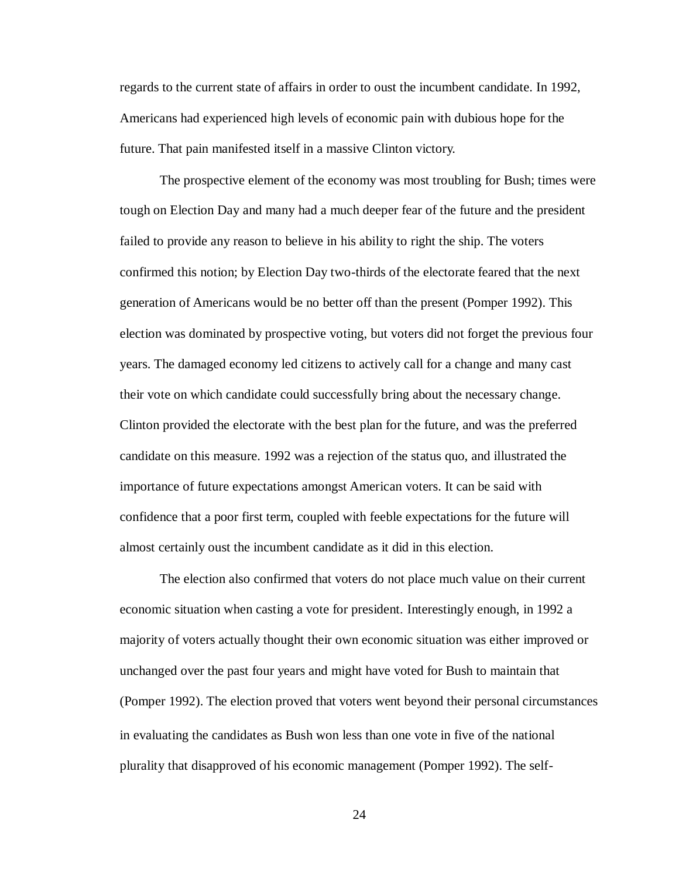regards to the current state of affairs in order to oust the incumbent candidate. In 1992, Americans had experienced high levels of economic pain with dubious hope for the future. That pain manifested itself in a massive Clinton victory.

The prospective element of the economy was most troubling for Bush; times were tough on Election Day and many had a much deeper fear of the future and the president failed to provide any reason to believe in his ability to right the ship. The voters confirmed this notion; by Election Day two-thirds of the electorate feared that the next generation of Americans would be no better off than the present (Pomper 1992). This election was dominated by prospective voting, but voters did not forget the previous four years. The damaged economy led citizens to actively call for a change and many cast their vote on which candidate could successfully bring about the necessary change. Clinton provided the electorate with the best plan for the future, and was the preferred candidate on this measure. 1992 was a rejection of the status quo, and illustrated the importance of future expectations amongst American voters. It can be said with confidence that a poor first term, coupled with feeble expectations for the future will almost certainly oust the incumbent candidate as it did in this election.

The election also confirmed that voters do not place much value on their current economic situation when casting a vote for president. Interestingly enough, in 1992 a majority of voters actually thought their own economic situation was either improved or unchanged over the past four years and might have voted for Bush to maintain that (Pomper 1992). The election proved that voters went beyond their personal circumstances in evaluating the candidates as Bush won less than one vote in five of the national plurality that disapproved of his economic management (Pomper 1992). The self-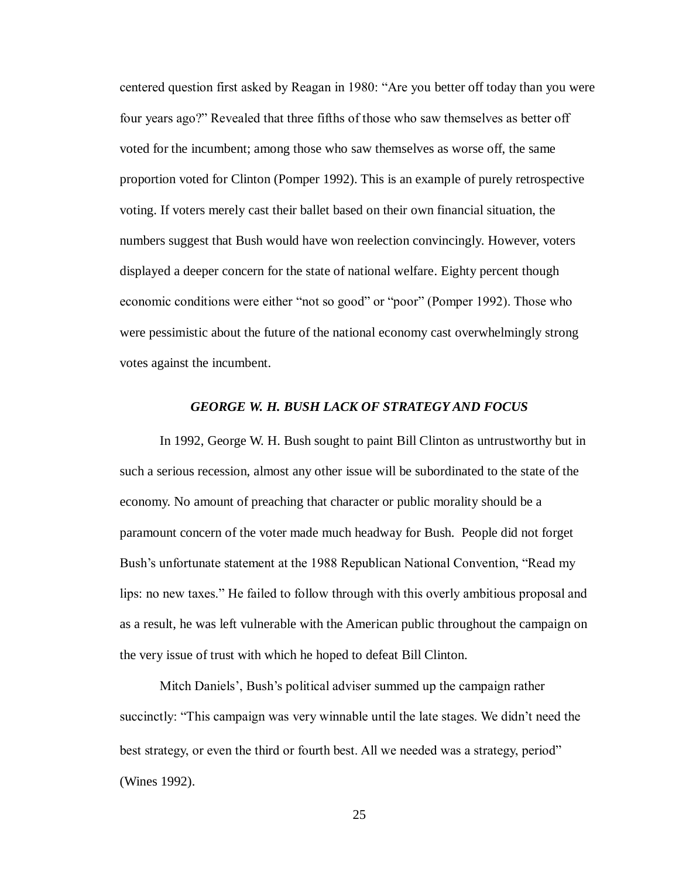centered question first asked by Reagan in 1980: "Are you better off today than you were four years ago?" Revealed that three fifths of those who saw themselves as better off voted for the incumbent; among those who saw themselves as worse off, the same proportion voted for Clinton (Pomper 1992). This is an example of purely retrospective voting. If voters merely cast their ballet based on their own financial situation, the numbers suggest that Bush would have won reelection convincingly. However, voters displayed a deeper concern for the state of national welfare. Eighty percent though economic conditions were either "not so good" or "poor" (Pomper 1992). Those who were pessimistic about the future of the national economy cast overwhelmingly strong votes against the incumbent.

#### *GEORGE W. H. BUSH LACK OF STRATEGY AND FOCUS*

In 1992, George W. H. Bush sought to paint Bill Clinton as untrustworthy but in such a serious recession, almost any other issue will be subordinated to the state of the economy. No amount of preaching that character or public morality should be a paramount concern of the voter made much headway for Bush. People did not forget Bush's unfortunate statement at the 1988 Republican National Convention, "Read my lips: no new taxes." He failed to follow through with this overly ambitious proposal and as a result, he was left vulnerable with the American public throughout the campaign on the very issue of trust with which he hoped to defeat Bill Clinton.

Mitch Daniels', Bush's political adviser summed up the campaign rather succinctly: "This campaign was very winnable until the late stages. We didn't need the best strategy, or even the third or fourth best. All we needed was a strategy, period" (Wines 1992).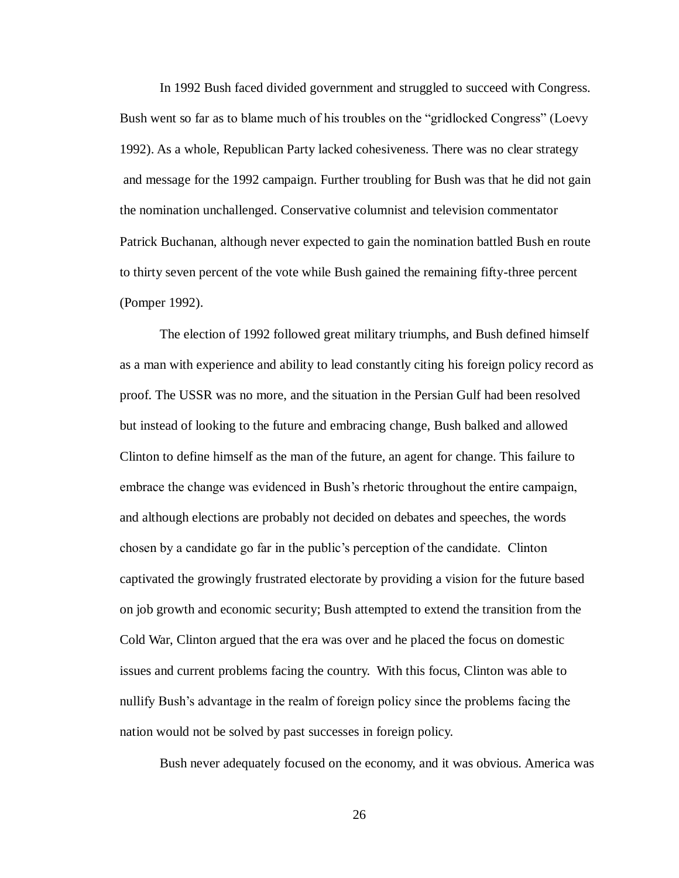In 1992 Bush faced divided government and struggled to succeed with Congress. Bush went so far as to blame much of his troubles on the "gridlocked Congress" (Loevy 1992). As a whole, Republican Party lacked cohesiveness. There was no clear strategy and message for the 1992 campaign. Further troubling for Bush was that he did not gain the nomination unchallenged. Conservative columnist and television commentator Patrick Buchanan, although never expected to gain the nomination battled Bush en route to thirty seven percent of the vote while Bush gained the remaining fifty-three percent (Pomper 1992).

The election of 1992 followed great military triumphs, and Bush defined himself as a man with experience and ability to lead constantly citing his foreign policy record as proof. The USSR was no more, and the situation in the Persian Gulf had been resolved but instead of looking to the future and embracing change, Bush balked and allowed Clinton to define himself as the man of the future, an agent for change. This failure to embrace the change was evidenced in Bush's rhetoric throughout the entire campaign, and although elections are probably not decided on debates and speeches, the words chosen by a candidate go far in the public's perception of the candidate. Clinton captivated the growingly frustrated electorate by providing a vision for the future based on job growth and economic security; Bush attempted to extend the transition from the Cold War, Clinton argued that the era was over and he placed the focus on domestic issues and current problems facing the country. With this focus, Clinton was able to nullify Bush's advantage in the realm of foreign policy since the problems facing the nation would not be solved by past successes in foreign policy.

Bush never adequately focused on the economy, and it was obvious. America was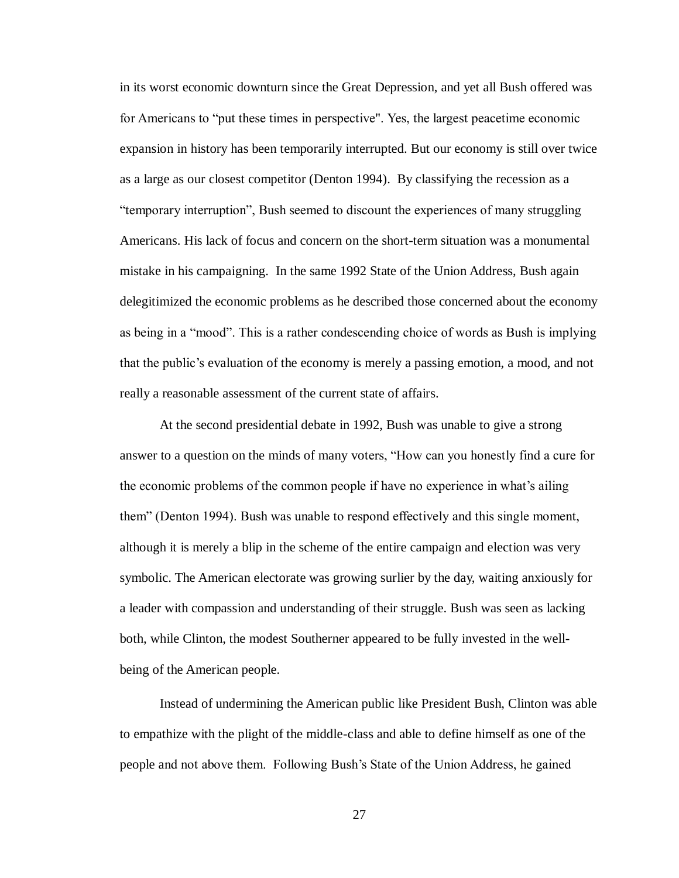in its worst economic downturn since the Great Depression, and yet all Bush offered was for Americans to "put these times in perspective". Yes, the largest peacetime economic expansion in history has been temporarily interrupted. But our economy is still over twice as a large as our closest competitor (Denton 1994). By classifying the recession as a "temporary interruption", Bush seemed to discount the experiences of many struggling Americans. His lack of focus and concern on the short-term situation was a monumental mistake in his campaigning. In the same 1992 State of the Union Address, Bush again delegitimized the economic problems as he described those concerned about the economy as being in a "mood". This is a rather condescending choice of words as Bush is implying that the public's evaluation of the economy is merely a passing emotion, a mood, and not really a reasonable assessment of the current state of affairs.

At the second presidential debate in 1992, Bush was unable to give a strong answer to a question on the minds of many voters, "How can you honestly find a cure for the economic problems of the common people if have no experience in what's ailing them" (Denton 1994). Bush was unable to respond effectively and this single moment, although it is merely a blip in the scheme of the entire campaign and election was very symbolic. The American electorate was growing surlier by the day, waiting anxiously for a leader with compassion and understanding of their struggle. Bush was seen as lacking both, while Clinton, the modest Southerner appeared to be fully invested in the wellbeing of the American people.

Instead of undermining the American public like President Bush, Clinton was able to empathize with the plight of the middle-class and able to define himself as one of the people and not above them. Following Bush's State of the Union Address, he gained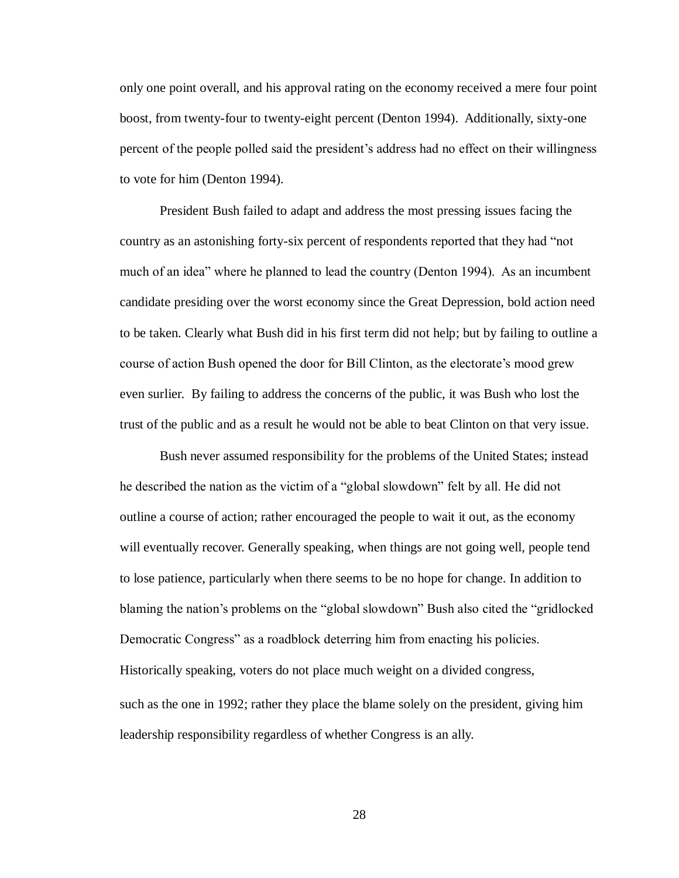only one point overall, and his approval rating on the economy received a mere four point boost, from twenty-four to twenty-eight percent (Denton 1994). Additionally, sixty-one percent of the people polled said the president's address had no effect on their willingness to vote for him (Denton 1994).

President Bush failed to adapt and address the most pressing issues facing the country as an astonishing forty-six percent of respondents reported that they had "not much of an idea" where he planned to lead the country (Denton 1994). As an incumbent candidate presiding over the worst economy since the Great Depression, bold action need to be taken. Clearly what Bush did in his first term did not help; but by failing to outline a course of action Bush opened the door for Bill Clinton, as the electorate's mood grew even surlier. By failing to address the concerns of the public, it was Bush who lost the trust of the public and as a result he would not be able to beat Clinton on that very issue.

Bush never assumed responsibility for the problems of the United States; instead he described the nation as the victim of a "global slowdown" felt by all. He did not outline a course of action; rather encouraged the people to wait it out, as the economy will eventually recover. Generally speaking, when things are not going well, people tend to lose patience, particularly when there seems to be no hope for change. In addition to blaming the nation's problems on the "global slowdown" Bush also cited the "gridlocked Democratic Congress" as a roadblock deterring him from enacting his policies. Historically speaking, voters do not place much weight on a divided congress, such as the one in 1992; rather they place the blame solely on the president, giving him leadership responsibility regardless of whether Congress is an ally.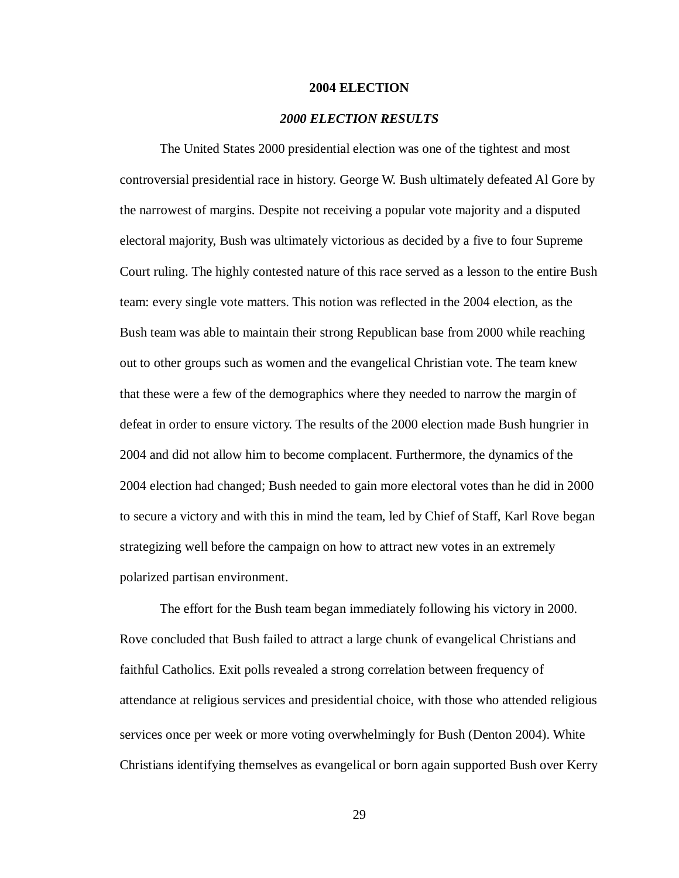#### **2004 ELECTION**

#### *2000 ELECTION RESULTS*

The United States 2000 presidential election was one of the tightest and most controversial presidential race in history. George W. Bush ultimately defeated Al Gore by the narrowest of margins. Despite not receiving a popular vote majority and a disputed electoral majority, Bush was ultimately victorious as decided by a five to four Supreme Court ruling. The highly contested nature of this race served as a lesson to the entire Bush team: every single vote matters. This notion was reflected in the 2004 election, as the Bush team was able to maintain their strong Republican base from 2000 while reaching out to other groups such as women and the evangelical Christian vote. The team knew that these were a few of the demographics where they needed to narrow the margin of defeat in order to ensure victory. The results of the 2000 election made Bush hungrier in 2004 and did not allow him to become complacent. Furthermore, the dynamics of the 2004 election had changed; Bush needed to gain more electoral votes than he did in 2000 to secure a victory and with this in mind the team, led by Chief of Staff, Karl Rove began strategizing well before the campaign on how to attract new votes in an extremely polarized partisan environment.

The effort for the Bush team began immediately following his victory in 2000. Rove concluded that Bush failed to attract a large chunk of evangelical Christians and faithful Catholics. Exit polls revealed a strong correlation between frequency of attendance at religious services and presidential choice, with those who attended religious services once per week or more voting overwhelmingly for Bush (Denton 2004). White Christians identifying themselves as evangelical or born again supported Bush over Kerry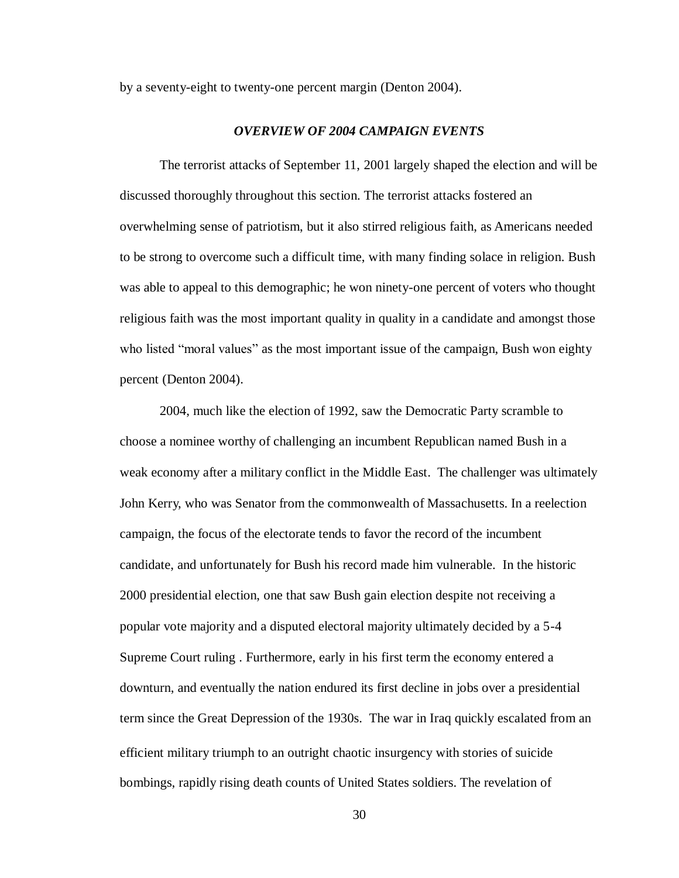by a seventy-eight to twenty-one percent margin (Denton 2004).

#### *OVERVIEW OF 2004 CAMPAIGN EVENTS*

The terrorist attacks of September 11, 2001 largely shaped the election and will be discussed thoroughly throughout this section. The terrorist attacks fostered an overwhelming sense of patriotism, but it also stirred religious faith, as Americans needed to be strong to overcome such a difficult time, with many finding solace in religion. Bush was able to appeal to this demographic; he won ninety-one percent of voters who thought religious faith was the most important quality in quality in a candidate and amongst those who listed "moral values" as the most important issue of the campaign, Bush won eighty percent (Denton 2004).

2004, much like the election of 1992, saw the Democratic Party scramble to choose a nominee worthy of challenging an incumbent Republican named Bush in a weak economy after a military conflict in the Middle East. The challenger was ultimately John Kerry, who was Senator from the commonwealth of Massachusetts. In a reelection campaign, the focus of the electorate tends to favor the record of the incumbent candidate, and unfortunately for Bush his record made him vulnerable. In the historic 2000 presidential election, one that saw Bush gain election despite not receiving a popular vote majority and a disputed electoral majority ultimately decided by a 5-4 Supreme Court ruling . Furthermore, early in his first term the economy entered a downturn, and eventually the nation endured its first decline in jobs over a presidential term since the Great Depression of the 1930s. The war in Iraq quickly escalated from an efficient military triumph to an outright chaotic insurgency with stories of suicide bombings, rapidly rising death counts of United States soldiers. The revelation of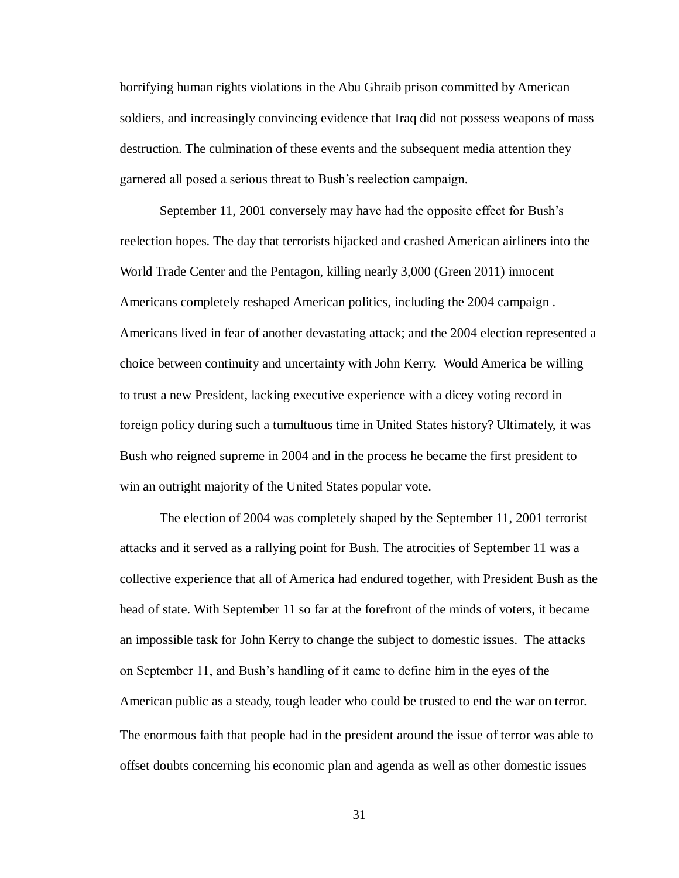horrifying human rights violations in the Abu Ghraib prison committed by American soldiers, and increasingly convincing evidence that Iraq did not possess weapons of mass destruction. The culmination of these events and the subsequent media attention they garnered all posed a serious threat to Bush's reelection campaign.

September 11, 2001 conversely may have had the opposite effect for Bush's reelection hopes. The day that terrorists hijacked and crashed American airliners into the World Trade Center and the Pentagon, killing nearly 3,000 (Green 2011) innocent Americans completely reshaped American politics, including the 2004 campaign . Americans lived in fear of another devastating attack; and the 2004 election represented a choice between continuity and uncertainty with John Kerry. Would America be willing to trust a new President, lacking executive experience with a dicey voting record in foreign policy during such a tumultuous time in United States history? Ultimately, it was Bush who reigned supreme in 2004 and in the process he became the first president to win an outright majority of the United States popular vote.

The election of 2004 was completely shaped by the September 11, 2001 terrorist attacks and it served as a rallying point for Bush. The atrocities of September 11 was a collective experience that all of America had endured together, with President Bush as the head of state. With September 11 so far at the forefront of the minds of voters, it became an impossible task for John Kerry to change the subject to domestic issues. The attacks on September 11, and Bush's handling of it came to define him in the eyes of the American public as a steady, tough leader who could be trusted to end the war on terror. The enormous faith that people had in the president around the issue of terror was able to offset doubts concerning his economic plan and agenda as well as other domestic issues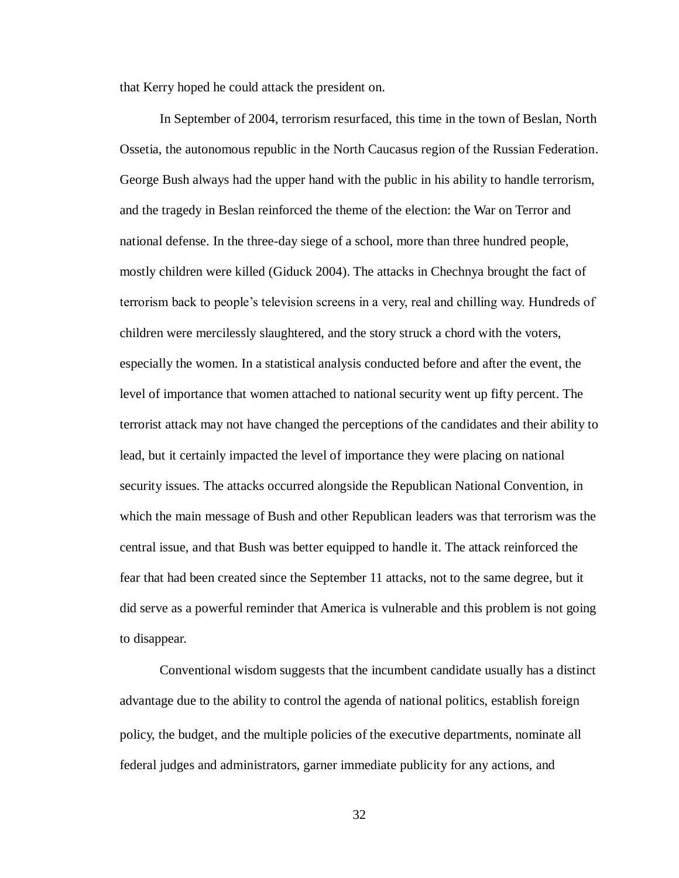that Kerry hoped he could attack the president on.

In September of 2004, terrorism resurfaced, this time in the town of Beslan, North Ossetia, the autonomous republic in the North Caucasus region of the Russian Federation. George Bush always had the upper hand with the public in his ability to handle terrorism, and the tragedy in Beslan reinforced the theme of the election: the War on Terror and national defense. In the three-day siege of a school, more than three hundred people, mostly children were killed (Giduck 2004). The attacks in Chechnya brought the fact of terrorism back to people's television screens in a very, real and chilling way. Hundreds of children were mercilessly slaughtered, and the story struck a chord with the voters, especially the women. In a statistical analysis conducted before and after the event, the level of importance that women attached to national security went up fifty percent. The terrorist attack may not have changed the perceptions of the candidates and their ability to lead, but it certainly impacted the level of importance they were placing on national security issues. The attacks occurred alongside the Republican National Convention, in which the main message of Bush and other Republican leaders was that terrorism was the central issue, and that Bush was better equipped to handle it. The attack reinforced the fear that had been created since the September 11 attacks, not to the same degree, but it did serve as a powerful reminder that America is vulnerable and this problem is not going to disappear.

Conventional wisdom suggests that the incumbent candidate usually has a distinct advantage due to the ability to control the agenda of national politics, establish foreign policy, the budget, and the multiple policies of the executive departments, nominate all federal judges and administrators, garner immediate publicity for any actions, and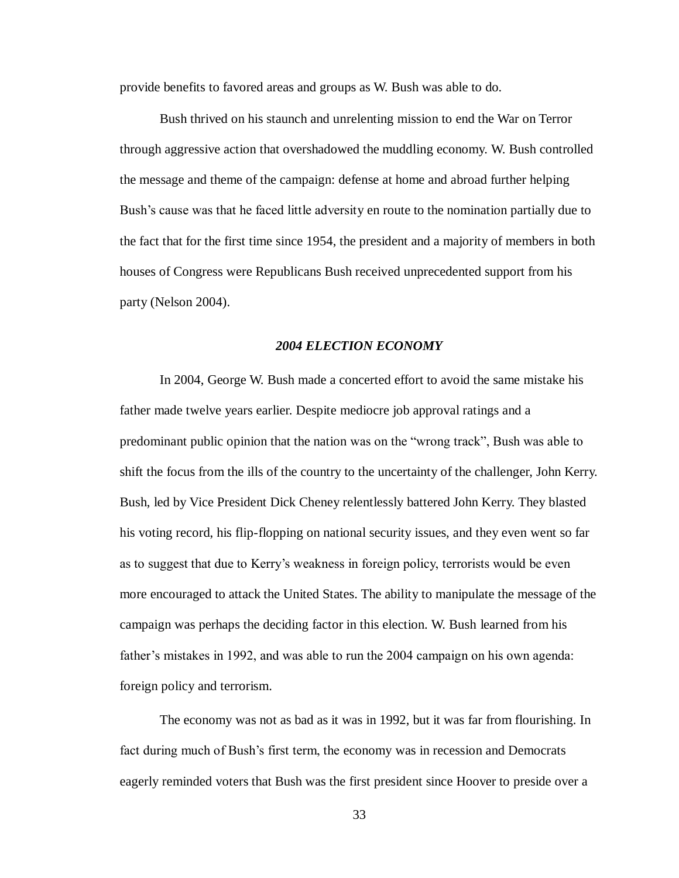provide benefits to favored areas and groups as W. Bush was able to do.

Bush thrived on his staunch and unrelenting mission to end the War on Terror through aggressive action that overshadowed the muddling economy. W. Bush controlled the message and theme of the campaign: defense at home and abroad further helping Bush's cause was that he faced little adversity en route to the nomination partially due to the fact that for the first time since 1954, the president and a majority of members in both houses of Congress were Republicans Bush received unprecedented support from his party (Nelson 2004).

#### *2004 ELECTION ECONOMY*

In 2004, George W. Bush made a concerted effort to avoid the same mistake his father made twelve years earlier. Despite mediocre job approval ratings and a predominant public opinion that the nation was on the "wrong track", Bush was able to shift the focus from the ills of the country to the uncertainty of the challenger, John Kerry. Bush, led by Vice President Dick Cheney relentlessly battered John Kerry. They blasted his voting record, his flip-flopping on national security issues, and they even went so far as to suggest that due to Kerry's weakness in foreign policy, terrorists would be even more encouraged to attack the United States. The ability to manipulate the message of the campaign was perhaps the deciding factor in this election. W. Bush learned from his father's mistakes in 1992, and was able to run the 2004 campaign on his own agenda: foreign policy and terrorism.

The economy was not as bad as it was in 1992, but it was far from flourishing. In fact during much of Bush's first term, the economy was in recession and Democrats eagerly reminded voters that Bush was the first president since Hoover to preside over a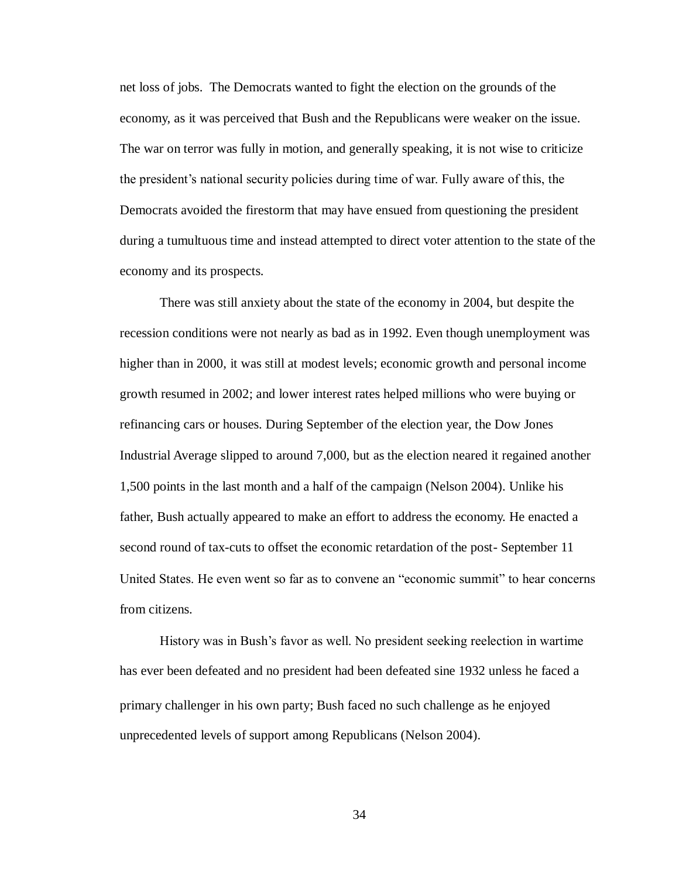net loss of jobs. The Democrats wanted to fight the election on the grounds of the economy, as it was perceived that Bush and the Republicans were weaker on the issue. The war on terror was fully in motion, and generally speaking, it is not wise to criticize the president's national security policies during time of war. Fully aware of this, the Democrats avoided the firestorm that may have ensued from questioning the president during a tumultuous time and instead attempted to direct voter attention to the state of the economy and its prospects.

There was still anxiety about the state of the economy in 2004, but despite the recession conditions were not nearly as bad as in 1992. Even though unemployment was higher than in 2000, it was still at modest levels; economic growth and personal income growth resumed in 2002; and lower interest rates helped millions who were buying or refinancing cars or houses. During September of the election year, the Dow Jones Industrial Average slipped to around 7,000, but as the election neared it regained another 1,500 points in the last month and a half of the campaign (Nelson 2004). Unlike his father, Bush actually appeared to make an effort to address the economy. He enacted a second round of tax-cuts to offset the economic retardation of the post- September 11 United States. He even went so far as to convene an "economic summit" to hear concerns from citizens.

History was in Bush's favor as well. No president seeking reelection in wartime has ever been defeated and no president had been defeated sine 1932 unless he faced a primary challenger in his own party; Bush faced no such challenge as he enjoyed unprecedented levels of support among Republicans (Nelson 2004).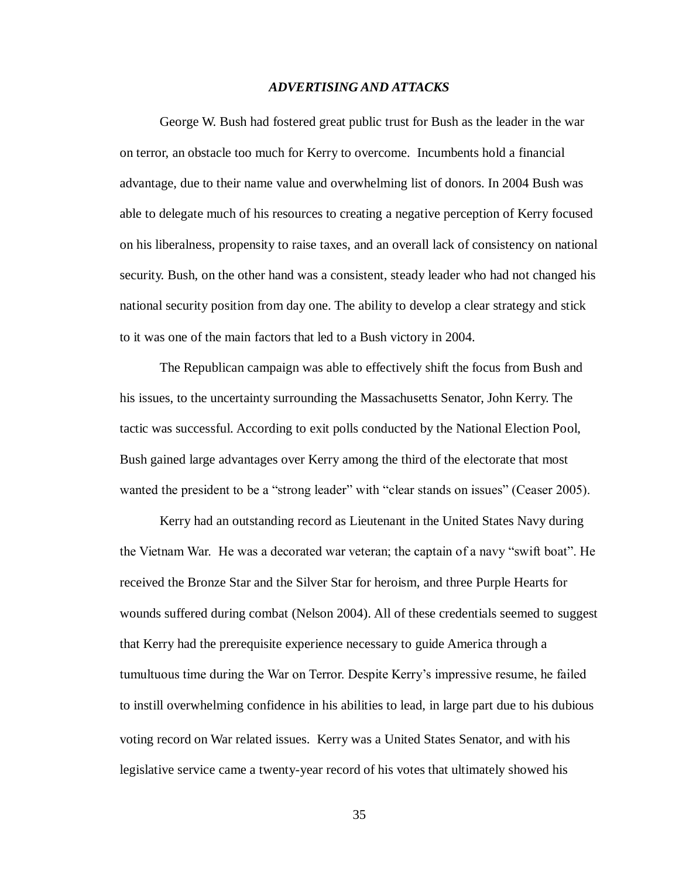#### *ADVERTISING AND ATTACKS*

George W. Bush had fostered great public trust for Bush as the leader in the war on terror, an obstacle too much for Kerry to overcome. Incumbents hold a financial advantage, due to their name value and overwhelming list of donors. In 2004 Bush was able to delegate much of his resources to creating a negative perception of Kerry focused on his liberalness, propensity to raise taxes, and an overall lack of consistency on national security. Bush, on the other hand was a consistent, steady leader who had not changed his national security position from day one. The ability to develop a clear strategy and stick to it was one of the main factors that led to a Bush victory in 2004.

The Republican campaign was able to effectively shift the focus from Bush and his issues, to the uncertainty surrounding the Massachusetts Senator, John Kerry. The tactic was successful. According to exit polls conducted by the National Election Pool, Bush gained large advantages over Kerry among the third of the electorate that most wanted the president to be a "strong leader" with "clear stands on issues" (Ceaser 2005).

Kerry had an outstanding record as Lieutenant in the United States Navy during the Vietnam War. He was a decorated war veteran; the captain of a navy "swift boat". He received the Bronze Star and the Silver Star for heroism, and three Purple Hearts for wounds suffered during combat (Nelson 2004). All of these credentials seemed to suggest that Kerry had the prerequisite experience necessary to guide America through a tumultuous time during the War on Terror. Despite Kerry's impressive resume, he failed to instill overwhelming confidence in his abilities to lead, in large part due to his dubious voting record on War related issues. Kerry was a United States Senator, and with his legislative service came a twenty-year record of his votes that ultimately showed his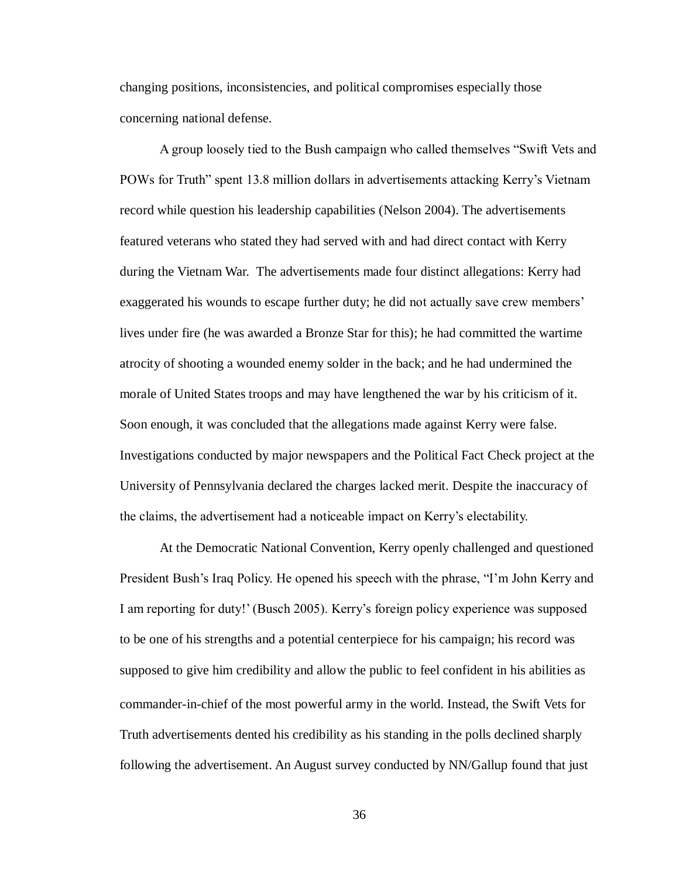changing positions, inconsistencies, and political compromises especially those concerning national defense.

A group loosely tied to the Bush campaign who called themselves "Swift Vets and POWs for Truth" spent 13.8 million dollars in advertisements attacking Kerry's Vietnam record while question his leadership capabilities (Nelson 2004). The advertisements featured veterans who stated they had served with and had direct contact with Kerry during the Vietnam War. The advertisements made four distinct allegations: Kerry had exaggerated his wounds to escape further duty; he did not actually save crew members' lives under fire (he was awarded a Bronze Star for this); he had committed the wartime atrocity of shooting a wounded enemy solder in the back; and he had undermined the morale of United States troops and may have lengthened the war by his criticism of it. Soon enough, it was concluded that the allegations made against Kerry were false. Investigations conducted by major newspapers and the Political Fact Check project at the University of Pennsylvania declared the charges lacked merit. Despite the inaccuracy of the claims, the advertisement had a noticeable impact on Kerry's electability.

At the Democratic National Convention, Kerry openly challenged and questioned President Bush's Iraq Policy. He opened his speech with the phrase, "I'm John Kerry and I am reporting for duty!' (Busch 2005). Kerry's foreign policy experience was supposed to be one of his strengths and a potential centerpiece for his campaign; his record was supposed to give him credibility and allow the public to feel confident in his abilities as commander-in-chief of the most powerful army in the world. Instead, the Swift Vets for Truth advertisements dented his credibility as his standing in the polls declined sharply following the advertisement. An August survey conducted by NN/Gallup found that just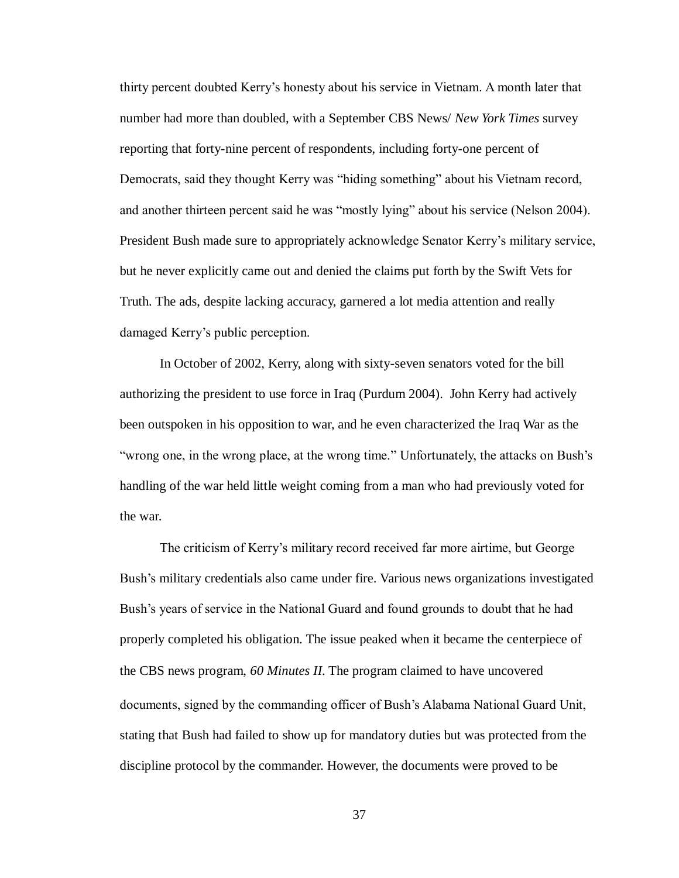thirty percent doubted Kerry's honesty about his service in Vietnam. A month later that number had more than doubled, with a September CBS News/ *New York Times* survey reporting that forty-nine percent of respondents, including forty-one percent of Democrats, said they thought Kerry was "hiding something" about his Vietnam record, and another thirteen percent said he was "mostly lying" about his service (Nelson 2004). President Bush made sure to appropriately acknowledge Senator Kerry's military service, but he never explicitly came out and denied the claims put forth by the Swift Vets for Truth. The ads, despite lacking accuracy, garnered a lot media attention and really damaged Kerry's public perception.

In October of 2002, Kerry, along with sixty-seven senators voted for the bill authorizing the president to use force in Iraq (Purdum 2004). John Kerry had actively been outspoken in his opposition to war, and he even characterized the Iraq War as the "wrong one, in the wrong place, at the wrong time." Unfortunately, the attacks on Bush's handling of the war held little weight coming from a man who had previously voted for the war.

The criticism of Kerry's military record received far more airtime, but George Bush's military credentials also came under fire. Various news organizations investigated Bush's years of service in the National Guard and found grounds to doubt that he had properly completed his obligation. The issue peaked when it became the centerpiece of the CBS news program, *60 Minutes II*. The program claimed to have uncovered documents, signed by the commanding officer of Bush's Alabama National Guard Unit, stating that Bush had failed to show up for mandatory duties but was protected from the discipline protocol by the commander. However, the documents were proved to be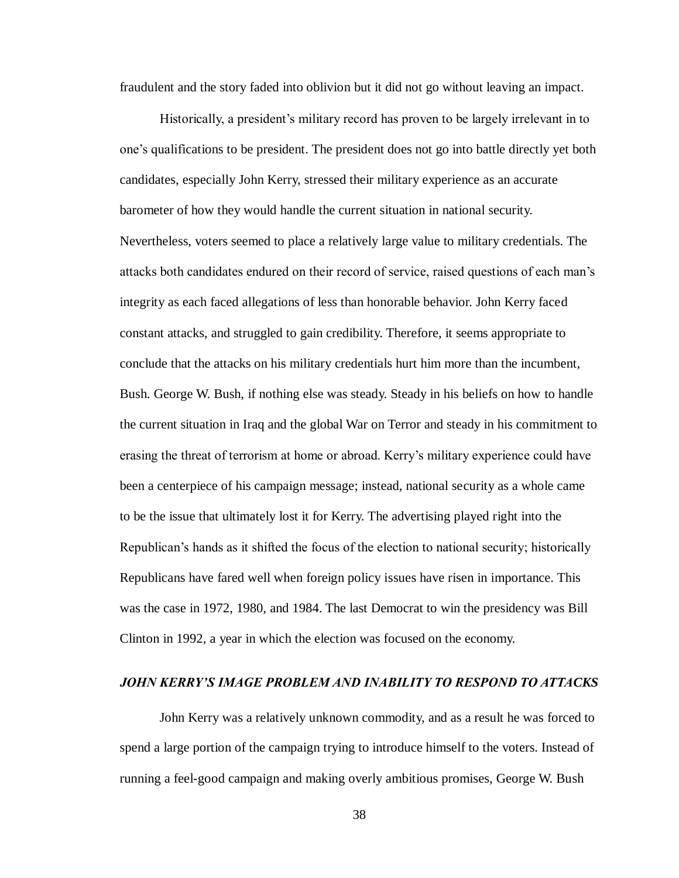fraudulent and the story faded into oblivion but it did not go without leaving an impact.

Historically, a president's military record has proven to be largely irrelevant in to one's qualifications to be president. The president does not go into battle directly yet both candidates, especially John Kerry, stressed their military experience as an accurate barometer of how they would handle the current situation in national security. Nevertheless, voters seemed to place a relatively large value to military credentials. The attacks both candidates endured on their record of service, raised questions of each man's integrity as each faced allegations of less than honorable behavior. John Kerry faced constant attacks, and struggled to gain credibility. Therefore, it seems appropriate to conclude that the attacks on his military credentials hurt him more than the incumbent, Bush. George W. Bush, if nothing else was steady. Steady in his beliefs on how to handle the current situation in Iraq and the global War on Terror and steady in his commitment to erasing the threat of terrorism at home or abroad. Kerry's military experience could have been a centerpiece of his campaign message; instead, national security as a whole came to be the issue that ultimately lost it for Kerry. The advertising played right into the Republican's hands as it shifted the focus of the election to national security; historically Republicans have fared well when foreign policy issues have risen in importance. This was the case in 1972, 1980, and 1984. The last Democrat to win the presidency was Bill Clinton in 1992, a year in which the election was focused on the economy.

## *JOHN KERRY'S IMAGE PROBLEM AND INABILITY TO RESPOND TO ATTACKS*

John Kerry was a relatively unknown commodity, and as a result he was forced to spend a large portion of the campaign trying to introduce himself to the voters. Instead of running a feel-good campaign and making overly ambitious promises, George W. Bush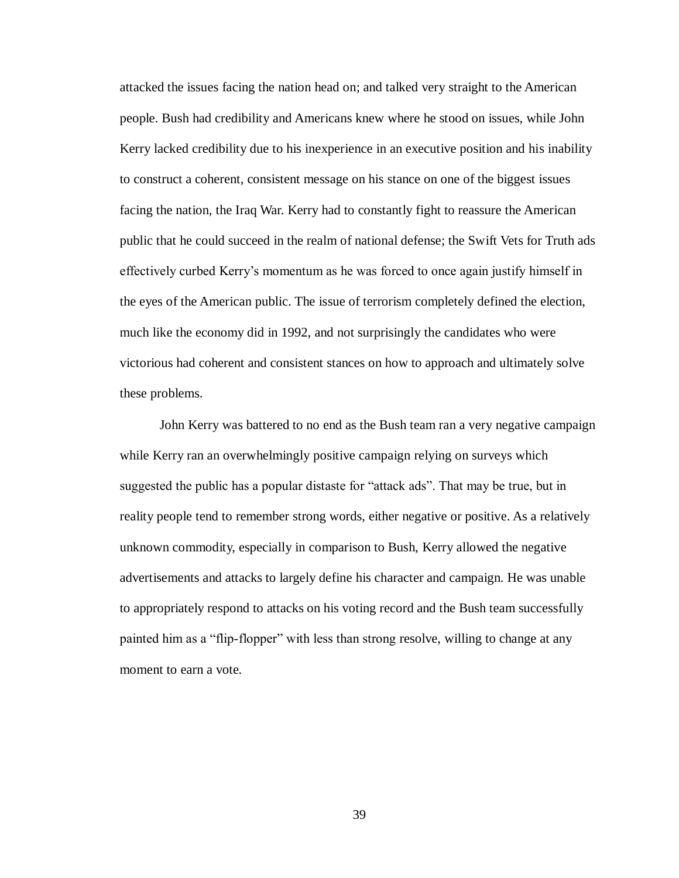attacked the issues facing the nation head on; and talked very straight to the American people. Bush had credibility and Americans knew where he stood on issues, while John Kerry lacked credibility due to his inexperience in an executive position and his inability to construct a coherent, consistent message on his stance on one of the biggest issues facing the nation, the Iraq War. Kerry had to constantly fight to reassure the American public that he could succeed in the realm of national defense; the Swift Vets for Truth ads effectively curbed Kerry's momentum as he was forced to once again justify himself in the eyes of the American public. The issue of terrorism completely defined the election, much like the economy did in 1992, and not surprisingly the candidates who were victorious had coherent and consistent stances on how to approach and ultimately solve these problems.

John Kerry was battered to no end as the Bush team ran a very negative campaign while Kerry ran an overwhelmingly positive campaign relying on surveys which suggested the public has a popular distaste for "attack ads". That may be true, but in reality people tend to remember strong words, either negative or positive. As a relatively unknown commodity, especially in comparison to Bush, Kerry allowed the negative advertisements and attacks to largely define his character and campaign. He was unable to appropriately respond to attacks on his voting record and the Bush team successfully painted him as a "flip-flopper" with less than strong resolve, willing to change at any moment to earn a vote.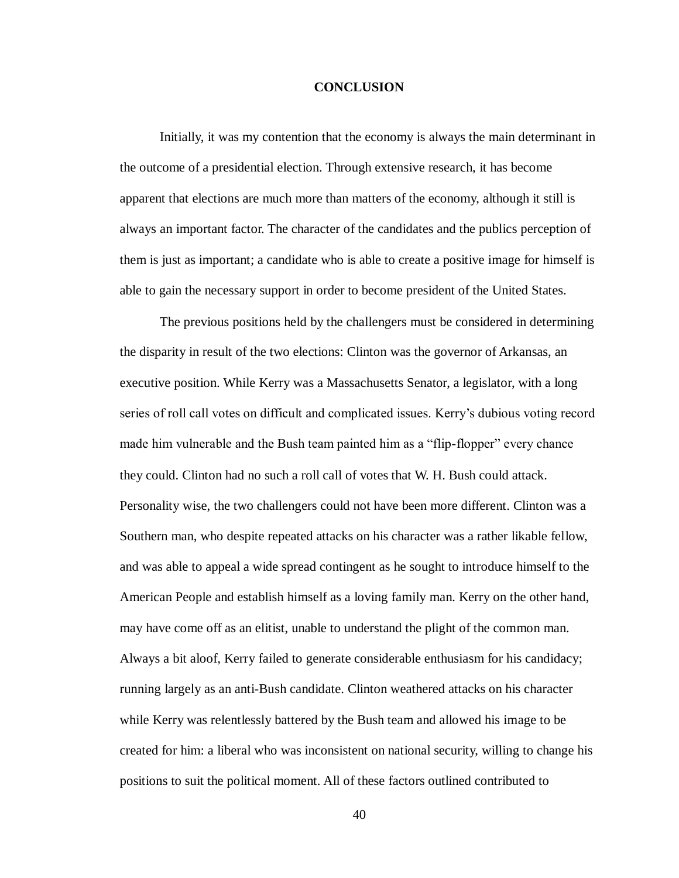#### **CONCLUSION**

Initially, it was my contention that the economy is always the main determinant in the outcome of a presidential election. Through extensive research, it has become apparent that elections are much more than matters of the economy, although it still is always an important factor. The character of the candidates and the publics perception of them is just as important; a candidate who is able to create a positive image for himself is able to gain the necessary support in order to become president of the United States.

The previous positions held by the challengers must be considered in determining the disparity in result of the two elections: Clinton was the governor of Arkansas, an executive position. While Kerry was a Massachusetts Senator, a legislator, with a long series of roll call votes on difficult and complicated issues. Kerry's dubious voting record made him vulnerable and the Bush team painted him as a "flip-flopper" every chance they could. Clinton had no such a roll call of votes that W. H. Bush could attack. Personality wise, the two challengers could not have been more different. Clinton was a Southern man, who despite repeated attacks on his character was a rather likable fellow, and was able to appeal a wide spread contingent as he sought to introduce himself to the American People and establish himself as a loving family man. Kerry on the other hand, may have come off as an elitist, unable to understand the plight of the common man. Always a bit aloof, Kerry failed to generate considerable enthusiasm for his candidacy; running largely as an anti-Bush candidate. Clinton weathered attacks on his character while Kerry was relentlessly battered by the Bush team and allowed his image to be created for him: a liberal who was inconsistent on national security, willing to change his positions to suit the political moment. All of these factors outlined contributed to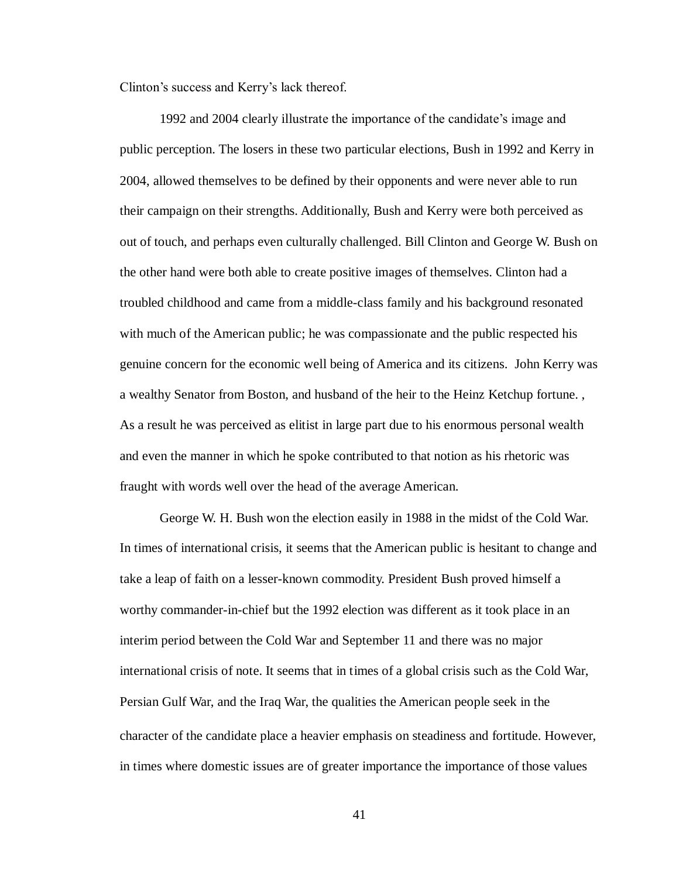Clinton's success and Kerry's lack thereof.

1992 and 2004 clearly illustrate the importance of the candidate's image and public perception. The losers in these two particular elections, Bush in 1992 and Kerry in 2004, allowed themselves to be defined by their opponents and were never able to run their campaign on their strengths. Additionally, Bush and Kerry were both perceived as out of touch, and perhaps even culturally challenged. Bill Clinton and George W. Bush on the other hand were both able to create positive images of themselves. Clinton had a troubled childhood and came from a middle-class family and his background resonated with much of the American public; he was compassionate and the public respected his genuine concern for the economic well being of America and its citizens. John Kerry was a wealthy Senator from Boston, and husband of the heir to the Heinz Ketchup fortune. , As a result he was perceived as elitist in large part due to his enormous personal wealth and even the manner in which he spoke contributed to that notion as his rhetoric was fraught with words well over the head of the average American.

George W. H. Bush won the election easily in 1988 in the midst of the Cold War. In times of international crisis, it seems that the American public is hesitant to change and take a leap of faith on a lesser-known commodity. President Bush proved himself a worthy commander-in-chief but the 1992 election was different as it took place in an interim period between the Cold War and September 11 and there was no major international crisis of note. It seems that in times of a global crisis such as the Cold War, Persian Gulf War, and the Iraq War, the qualities the American people seek in the character of the candidate place a heavier emphasis on steadiness and fortitude. However, in times where domestic issues are of greater importance the importance of those values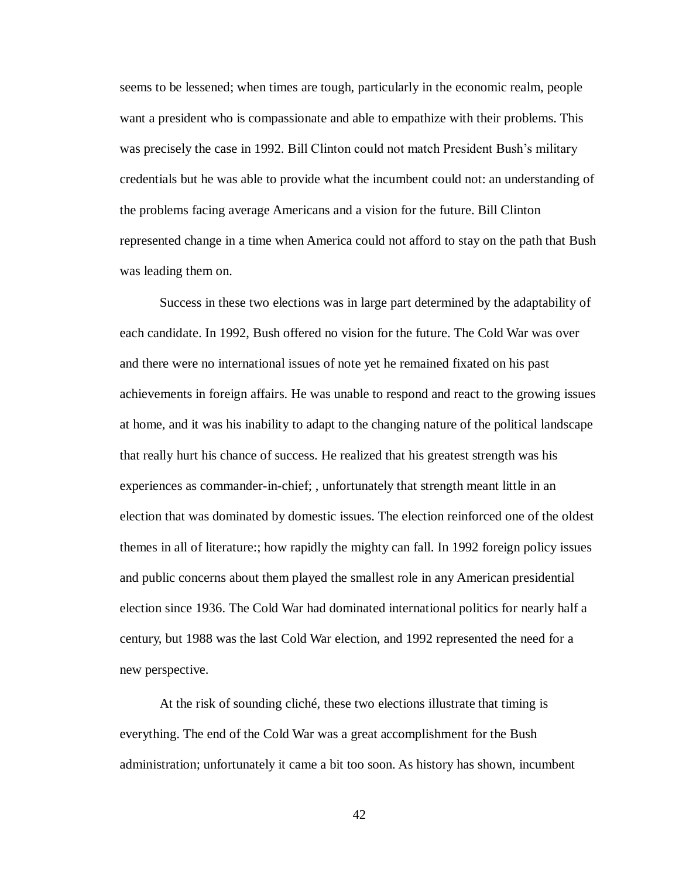seems to be lessened; when times are tough, particularly in the economic realm, people want a president who is compassionate and able to empathize with their problems. This was precisely the case in 1992. Bill Clinton could not match President Bush's military credentials but he was able to provide what the incumbent could not: an understanding of the problems facing average Americans and a vision for the future. Bill Clinton represented change in a time when America could not afford to stay on the path that Bush was leading them on.

Success in these two elections was in large part determined by the adaptability of each candidate. In 1992, Bush offered no vision for the future. The Cold War was over and there were no international issues of note yet he remained fixated on his past achievements in foreign affairs. He was unable to respond and react to the growing issues at home, and it was his inability to adapt to the changing nature of the political landscape that really hurt his chance of success. He realized that his greatest strength was his experiences as commander-in-chief; , unfortunately that strength meant little in an election that was dominated by domestic issues. The election reinforced one of the oldest themes in all of literature:; how rapidly the mighty can fall. In 1992 foreign policy issues and public concerns about them played the smallest role in any American presidential election since 1936. The Cold War had dominated international politics for nearly half a century, but 1988 was the last Cold War election, and 1992 represented the need for a new perspective.

At the risk of sounding cliché, these two elections illustrate that timing is everything. The end of the Cold War was a great accomplishment for the Bush administration; unfortunately it came a bit too soon. As history has shown, incumbent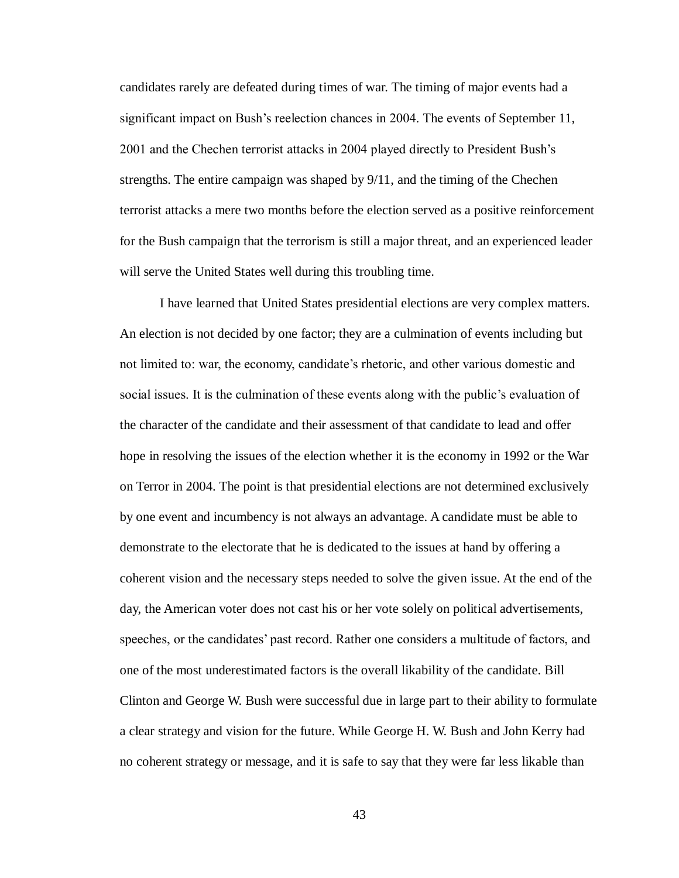candidates rarely are defeated during times of war. The timing of major events had a significant impact on Bush's reelection chances in 2004. The events of September 11, 2001 and the Chechen terrorist attacks in 2004 played directly to President Bush's strengths. The entire campaign was shaped by 9/11, and the timing of the Chechen terrorist attacks a mere two months before the election served as a positive reinforcement for the Bush campaign that the terrorism is still a major threat, and an experienced leader will serve the United States well during this troubling time.

I have learned that United States presidential elections are very complex matters. An election is not decided by one factor; they are a culmination of events including but not limited to: war, the economy, candidate's rhetoric, and other various domestic and social issues. It is the culmination of these events along with the public's evaluation of the character of the candidate and their assessment of that candidate to lead and offer hope in resolving the issues of the election whether it is the economy in 1992 or the War on Terror in 2004. The point is that presidential elections are not determined exclusively by one event and incumbency is not always an advantage. A candidate must be able to demonstrate to the electorate that he is dedicated to the issues at hand by offering a coherent vision and the necessary steps needed to solve the given issue. At the end of the day, the American voter does not cast his or her vote solely on political advertisements, speeches, or the candidates' past record. Rather one considers a multitude of factors, and one of the most underestimated factors is the overall likability of the candidate. Bill Clinton and George W. Bush were successful due in large part to their ability to formulate a clear strategy and vision for the future. While George H. W. Bush and John Kerry had no coherent strategy or message, and it is safe to say that they were far less likable than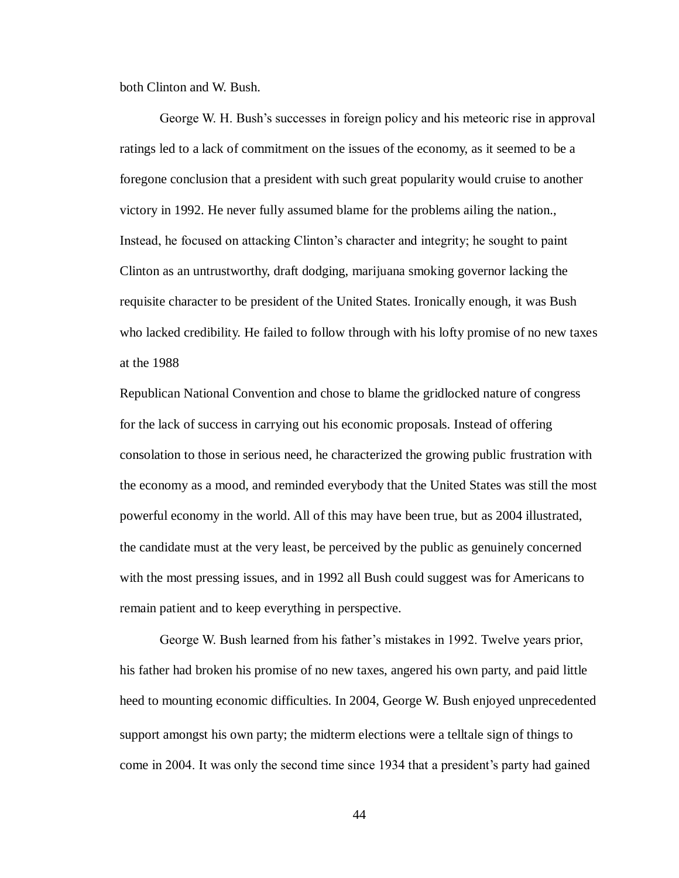both Clinton and W. Bush.

George W. H. Bush's successes in foreign policy and his meteoric rise in approval ratings led to a lack of commitment on the issues of the economy, as it seemed to be a foregone conclusion that a president with such great popularity would cruise to another victory in 1992. He never fully assumed blame for the problems ailing the nation., Instead, he focused on attacking Clinton's character and integrity; he sought to paint Clinton as an untrustworthy, draft dodging, marijuana smoking governor lacking the requisite character to be president of the United States. Ironically enough, it was Bush who lacked credibility. He failed to follow through with his lofty promise of no new taxes at the 1988

Republican National Convention and chose to blame the gridlocked nature of congress for the lack of success in carrying out his economic proposals. Instead of offering consolation to those in serious need, he characterized the growing public frustration with the economy as a mood, and reminded everybody that the United States was still the most powerful economy in the world. All of this may have been true, but as 2004 illustrated, the candidate must at the very least, be perceived by the public as genuinely concerned with the most pressing issues, and in 1992 all Bush could suggest was for Americans to remain patient and to keep everything in perspective.

George W. Bush learned from his father's mistakes in 1992. Twelve years prior, his father had broken his promise of no new taxes, angered his own party, and paid little heed to mounting economic difficulties. In 2004, George W. Bush enjoyed unprecedented support amongst his own party; the midterm elections were a telltale sign of things to come in 2004. It was only the second time since 1934 that a president's party had gained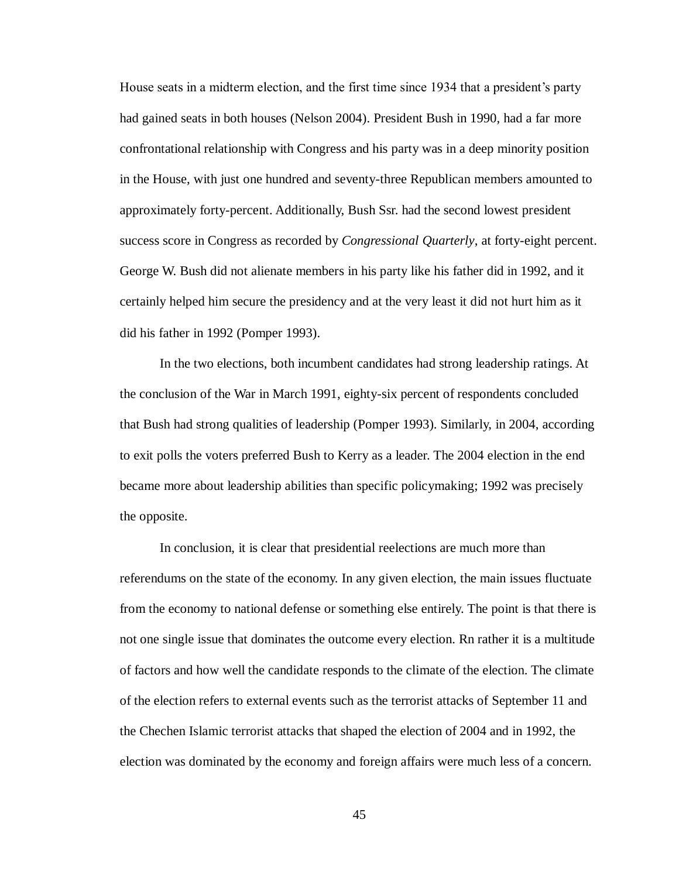House seats in a midterm election, and the first time since 1934 that a president's party had gained seats in both houses (Nelson 2004). President Bush in 1990, had a far more confrontational relationship with Congress and his party was in a deep minority position in the House, with just one hundred and seventy-three Republican members amounted to approximately forty-percent. Additionally, Bush Ssr. had the second lowest president success score in Congress as recorded by *Congressional Quarterly*, at forty-eight percent. George W. Bush did not alienate members in his party like his father did in 1992, and it certainly helped him secure the presidency and at the very least it did not hurt him as it did his father in 1992 (Pomper 1993).

In the two elections, both incumbent candidates had strong leadership ratings. At the conclusion of the War in March 1991, eighty-six percent of respondents concluded that Bush had strong qualities of leadership (Pomper 1993). Similarly, in 2004, according to exit polls the voters preferred Bush to Kerry as a leader. The 2004 election in the end became more about leadership abilities than specific policymaking; 1992 was precisely the opposite.

In conclusion, it is clear that presidential reelections are much more than referendums on the state of the economy. In any given election, the main issues fluctuate from the economy to national defense or something else entirely. The point is that there is not one single issue that dominates the outcome every election. Rn rather it is a multitude of factors and how well the candidate responds to the climate of the election. The climate of the election refers to external events such as the terrorist attacks of September 11 and the Chechen Islamic terrorist attacks that shaped the election of 2004 and in 1992, the election was dominated by the economy and foreign affairs were much less of a concern.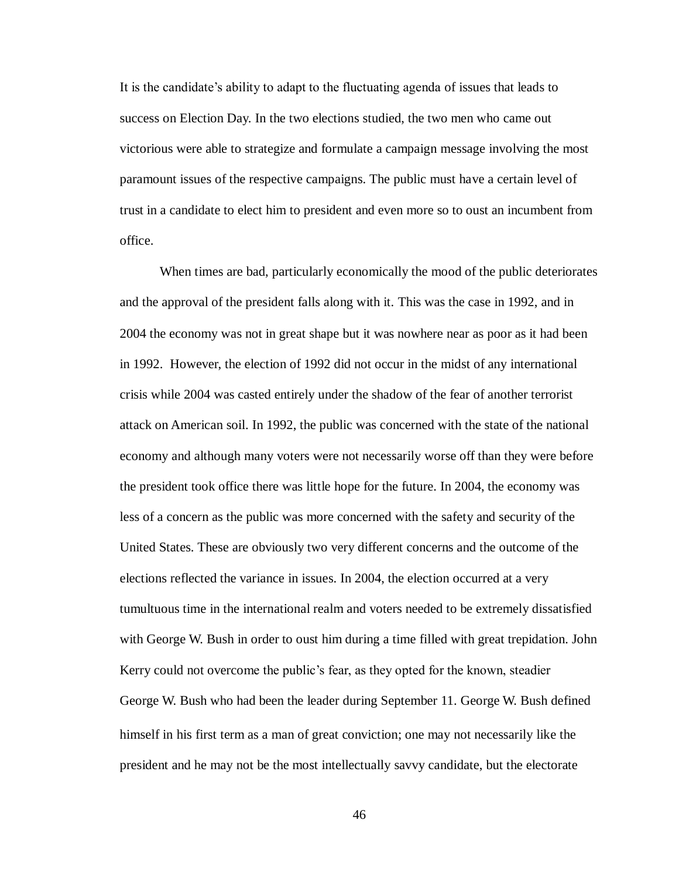It is the candidate's ability to adapt to the fluctuating agenda of issues that leads to success on Election Day. In the two elections studied, the two men who came out victorious were able to strategize and formulate a campaign message involving the most paramount issues of the respective campaigns. The public must have a certain level of trust in a candidate to elect him to president and even more so to oust an incumbent from office.

When times are bad, particularly economically the mood of the public deteriorates and the approval of the president falls along with it. This was the case in 1992, and in 2004 the economy was not in great shape but it was nowhere near as poor as it had been in 1992. However, the election of 1992 did not occur in the midst of any international crisis while 2004 was casted entirely under the shadow of the fear of another terrorist attack on American soil. In 1992, the public was concerned with the state of the national economy and although many voters were not necessarily worse off than they were before the president took office there was little hope for the future. In 2004, the economy was less of a concern as the public was more concerned with the safety and security of the United States. These are obviously two very different concerns and the outcome of the elections reflected the variance in issues. In 2004, the election occurred at a very tumultuous time in the international realm and voters needed to be extremely dissatisfied with George W. Bush in order to oust him during a time filled with great trepidation. John Kerry could not overcome the public's fear, as they opted for the known, steadier George W. Bush who had been the leader during September 11. George W. Bush defined himself in his first term as a man of great conviction; one may not necessarily like the president and he may not be the most intellectually savvy candidate, but the electorate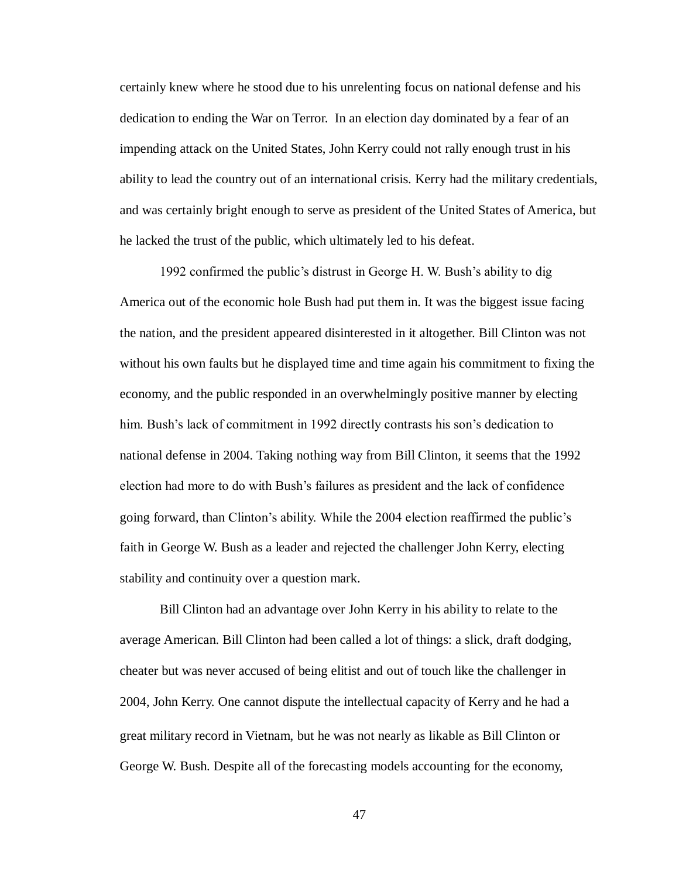certainly knew where he stood due to his unrelenting focus on national defense and his dedication to ending the War on Terror. In an election day dominated by a fear of an impending attack on the United States, John Kerry could not rally enough trust in his ability to lead the country out of an international crisis. Kerry had the military credentials, and was certainly bright enough to serve as president of the United States of America, but he lacked the trust of the public, which ultimately led to his defeat.

1992 confirmed the public's distrust in George H. W. Bush's ability to dig America out of the economic hole Bush had put them in. It was the biggest issue facing the nation, and the president appeared disinterested in it altogether. Bill Clinton was not without his own faults but he displayed time and time again his commitment to fixing the economy, and the public responded in an overwhelmingly positive manner by electing him. Bush's lack of commitment in 1992 directly contrasts his son's dedication to national defense in 2004. Taking nothing way from Bill Clinton, it seems that the 1992 election had more to do with Bush's failures as president and the lack of confidence going forward, than Clinton's ability. While the 2004 election reaffirmed the public's faith in George W. Bush as a leader and rejected the challenger John Kerry, electing stability and continuity over a question mark.

Bill Clinton had an advantage over John Kerry in his ability to relate to the average American. Bill Clinton had been called a lot of things: a slick, draft dodging, cheater but was never accused of being elitist and out of touch like the challenger in 2004, John Kerry. One cannot dispute the intellectual capacity of Kerry and he had a great military record in Vietnam, but he was not nearly as likable as Bill Clinton or George W. Bush. Despite all of the forecasting models accounting for the economy,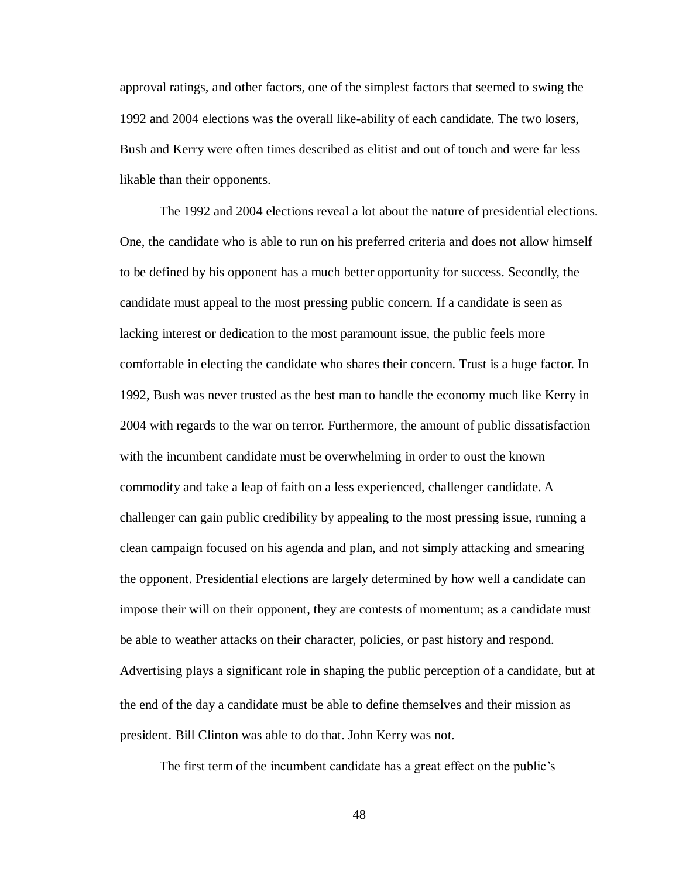approval ratings, and other factors, one of the simplest factors that seemed to swing the 1992 and 2004 elections was the overall like-ability of each candidate. The two losers, Bush and Kerry were often times described as elitist and out of touch and were far less likable than their opponents.

The 1992 and 2004 elections reveal a lot about the nature of presidential elections. One, the candidate who is able to run on his preferred criteria and does not allow himself to be defined by his opponent has a much better opportunity for success. Secondly, the candidate must appeal to the most pressing public concern. If a candidate is seen as lacking interest or dedication to the most paramount issue, the public feels more comfortable in electing the candidate who shares their concern. Trust is a huge factor. In 1992, Bush was never trusted as the best man to handle the economy much like Kerry in 2004 with regards to the war on terror. Furthermore, the amount of public dissatisfaction with the incumbent candidate must be overwhelming in order to oust the known commodity and take a leap of faith on a less experienced, challenger candidate. A challenger can gain public credibility by appealing to the most pressing issue, running a clean campaign focused on his agenda and plan, and not simply attacking and smearing the opponent. Presidential elections are largely determined by how well a candidate can impose their will on their opponent, they are contests of momentum; as a candidate must be able to weather attacks on their character, policies, or past history and respond. Advertising plays a significant role in shaping the public perception of a candidate, but at the end of the day a candidate must be able to define themselves and their mission as president. Bill Clinton was able to do that. John Kerry was not.

The first term of the incumbent candidate has a great effect on the public's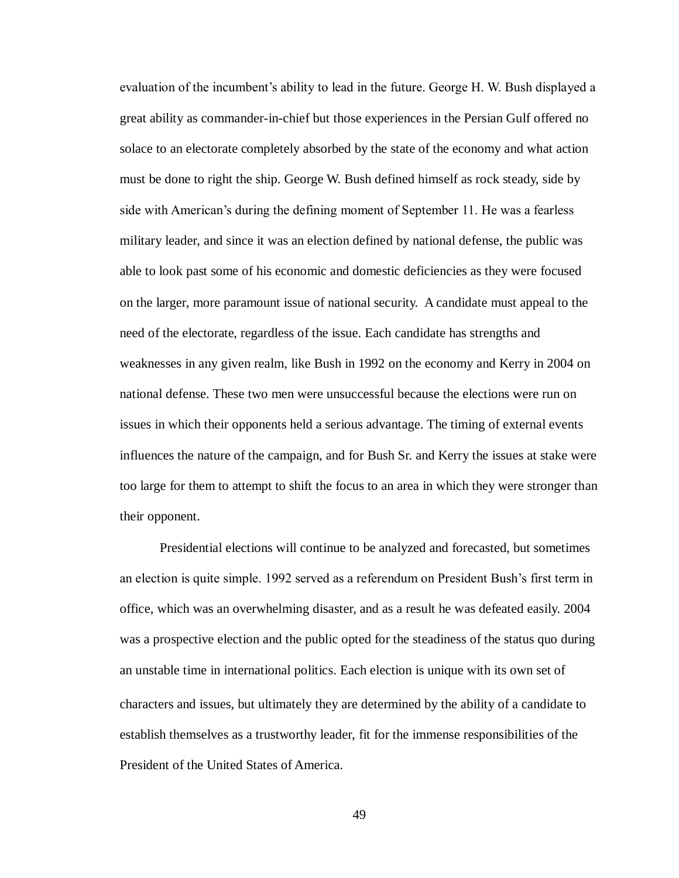evaluation of the incumbent's ability to lead in the future. George H. W. Bush displayed a great ability as commander-in-chief but those experiences in the Persian Gulf offered no solace to an electorate completely absorbed by the state of the economy and what action must be done to right the ship. George W. Bush defined himself as rock steady, side by side with American's during the defining moment of September 11. He was a fearless military leader, and since it was an election defined by national defense, the public was able to look past some of his economic and domestic deficiencies as they were focused on the larger, more paramount issue of national security. A candidate must appeal to the need of the electorate, regardless of the issue. Each candidate has strengths and weaknesses in any given realm, like Bush in 1992 on the economy and Kerry in 2004 on national defense. These two men were unsuccessful because the elections were run on issues in which their opponents held a serious advantage. The timing of external events influences the nature of the campaign, and for Bush Sr. and Kerry the issues at stake were too large for them to attempt to shift the focus to an area in which they were stronger than their opponent.

Presidential elections will continue to be analyzed and forecasted, but sometimes an election is quite simple. 1992 served as a referendum on President Bush's first term in office, which was an overwhelming disaster, and as a result he was defeated easily. 2004 was a prospective election and the public opted for the steadiness of the status quo during an unstable time in international politics. Each election is unique with its own set of characters and issues, but ultimately they are determined by the ability of a candidate to establish themselves as a trustworthy leader, fit for the immense responsibilities of the President of the United States of America.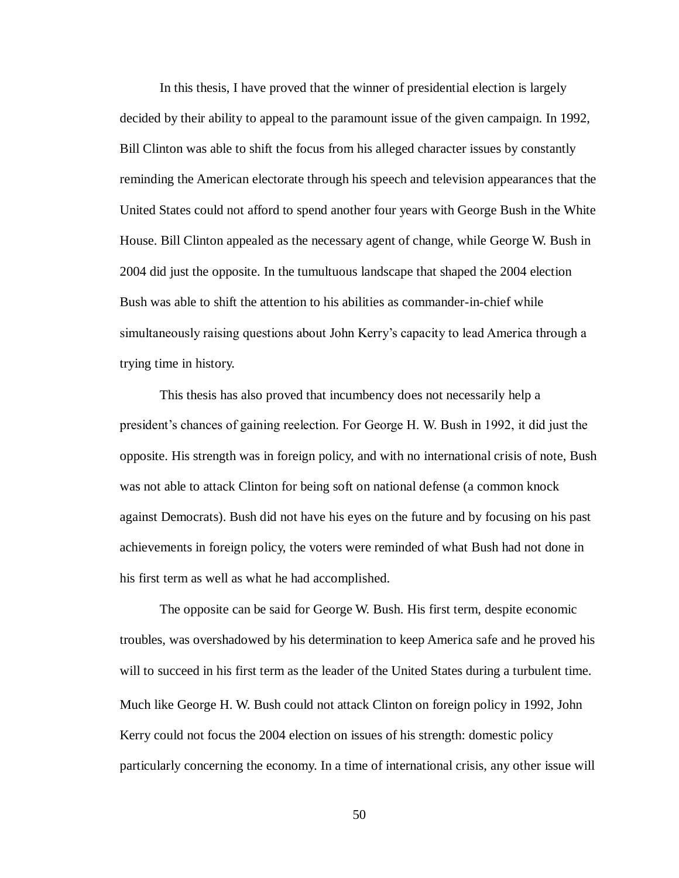In this thesis, I have proved that the winner of presidential election is largely decided by their ability to appeal to the paramount issue of the given campaign. In 1992, Bill Clinton was able to shift the focus from his alleged character issues by constantly reminding the American electorate through his speech and television appearances that the United States could not afford to spend another four years with George Bush in the White House. Bill Clinton appealed as the necessary agent of change, while George W. Bush in 2004 did just the opposite. In the tumultuous landscape that shaped the 2004 election Bush was able to shift the attention to his abilities as commander-in-chief while simultaneously raising questions about John Kerry's capacity to lead America through a trying time in history.

This thesis has also proved that incumbency does not necessarily help a president's chances of gaining reelection. For George H. W. Bush in 1992, it did just the opposite. His strength was in foreign policy, and with no international crisis of note, Bush was not able to attack Clinton for being soft on national defense (a common knock against Democrats). Bush did not have his eyes on the future and by focusing on his past achievements in foreign policy, the voters were reminded of what Bush had not done in his first term as well as what he had accomplished.

The opposite can be said for George W. Bush. His first term, despite economic troubles, was overshadowed by his determination to keep America safe and he proved his will to succeed in his first term as the leader of the United States during a turbulent time. Much like George H. W. Bush could not attack Clinton on foreign policy in 1992, John Kerry could not focus the 2004 election on issues of his strength: domestic policy particularly concerning the economy. In a time of international crisis, any other issue will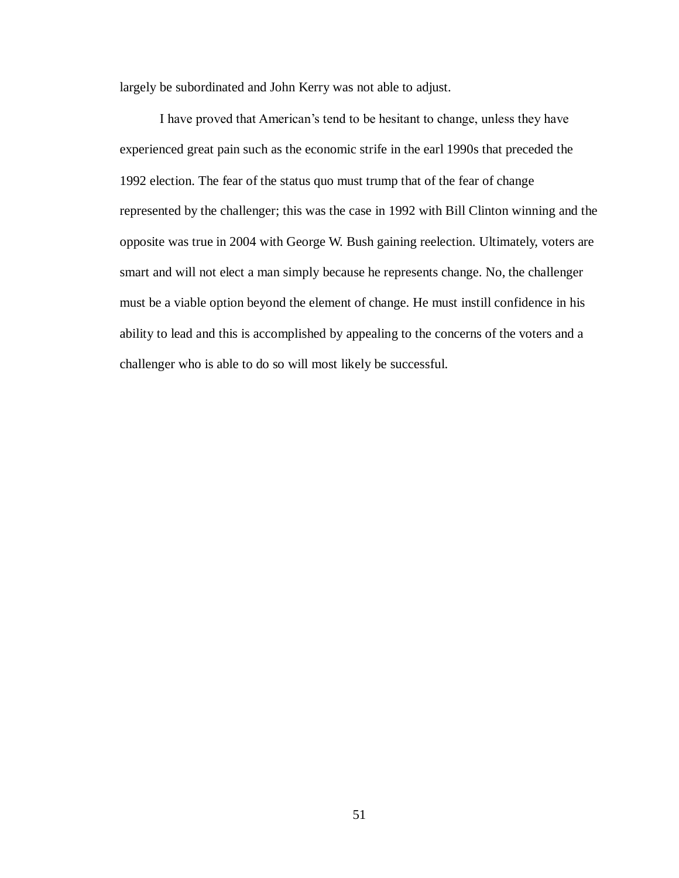largely be subordinated and John Kerry was not able to adjust.

I have proved that American's tend to be hesitant to change, unless they have experienced great pain such as the economic strife in the earl 1990s that preceded the 1992 election. The fear of the status quo must trump that of the fear of change represented by the challenger; this was the case in 1992 with Bill Clinton winning and the opposite was true in 2004 with George W. Bush gaining reelection. Ultimately, voters are smart and will not elect a man simply because he represents change. No, the challenger must be a viable option beyond the element of change. He must instill confidence in his ability to lead and this is accomplished by appealing to the concerns of the voters and a challenger who is able to do so will most likely be successful.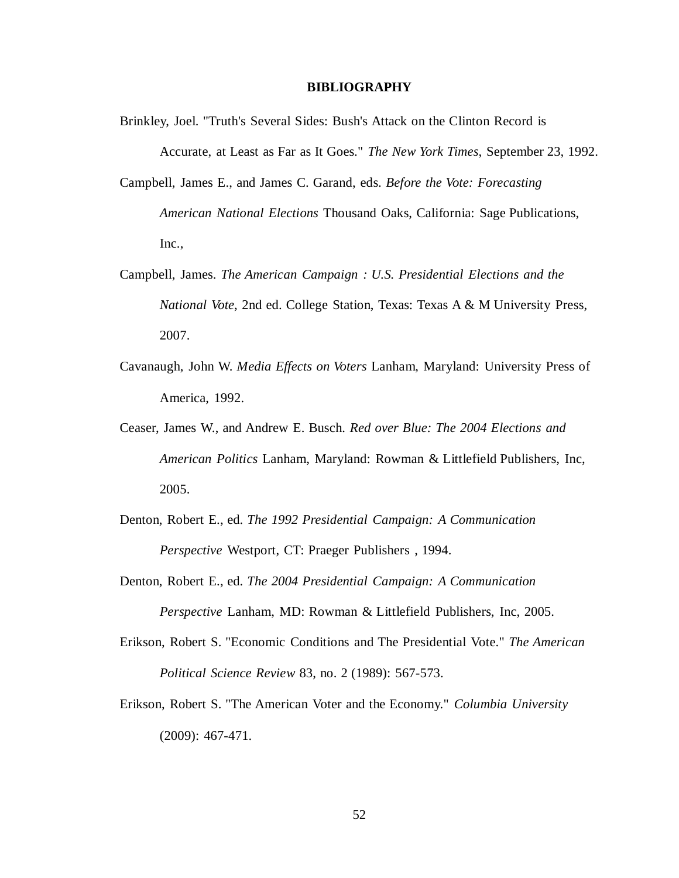#### **BIBLIOGRAPHY**

- Brinkley, Joel. "Truth's Several Sides: Bush's Attack on the Clinton Record is Accurate, at Least as Far as It Goes." *The New York Times*, September 23, 1992.
- Campbell, James E., and James C. Garand, eds. *Before the Vote: Forecasting American National Elections* Thousand Oaks, California: Sage Publications, Inc.,
- Campbell, James. *The American Campaign : U.S. Presidential Elections and the National Vote*, 2nd ed. College Station, Texas: Texas A & M University Press, 2007.
- Cavanaugh, John W. *Media Effects on Voters* Lanham, Maryland: University Press of America, 1992.
- Ceaser, James W., and Andrew E. Busch. *Red over Blue: The 2004 Elections and American Politics* Lanham, Maryland: Rowman & Littlefield Publishers, Inc, 2005.
- Denton, Robert E., ed. *The 1992 Presidential Campaign: A Communication Perspective* Westport, CT: Praeger Publishers , 1994.
- Denton, Robert E., ed. *The 2004 Presidential Campaign: A Communication Perspective* Lanham, MD: Rowman & Littlefield Publishers, Inc, 2005.
- Erikson, Robert S. "Economic Conditions and The Presidential Vote." *The American Political Science Review* 83, no. 2 (1989): 567-573.
- Erikson, Robert S. "The American Voter and the Economy." *Columbia University* (2009): 467-471.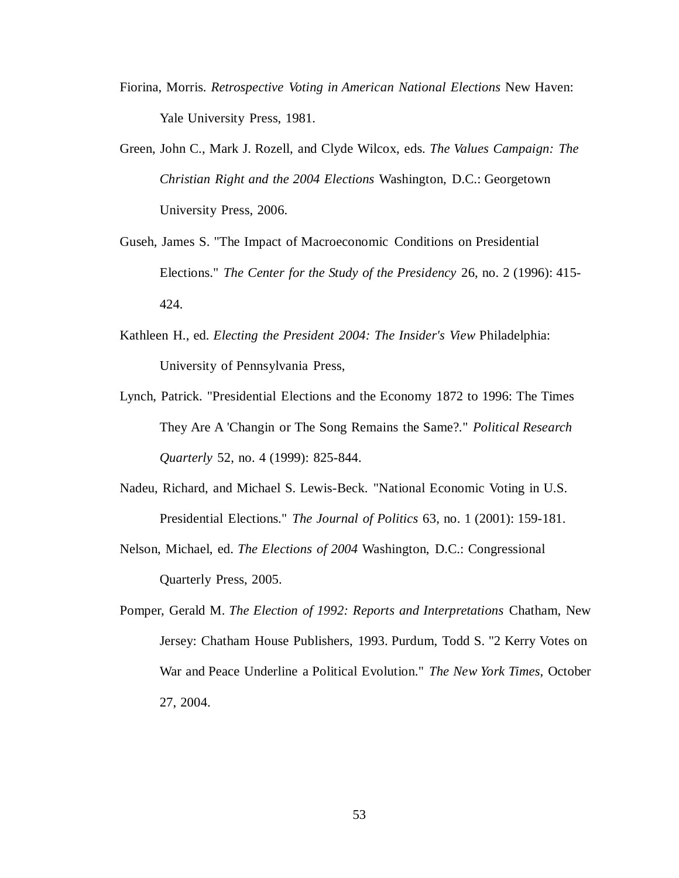- Fiorina, Morris. *Retrospective Voting in American National Elections* New Haven: Yale University Press, 1981.
- Green, John C., Mark J. Rozell, and Clyde Wilcox, eds. *The Values Campaign: The Christian Right and the 2004 Elections* Washington, D.C.: Georgetown University Press, 2006.
- Guseh, James S. "The Impact of Macroeconomic Conditions on Presidential Elections." *The Center for the Study of the Presidency* 26, no. 2 (1996): 415- 424.
- Kathleen H., ed. *Electing the President 2004: The Insider's View* Philadelphia: University of Pennsylvania Press,
- Lynch, Patrick. "Presidential Elections and the Economy 1872 to 1996: The Times They Are A 'Changin or The Song Remains the Same?." *Political Research Quarterly* 52, no. 4 (1999): 825-844.
- Nadeu, Richard, and Michael S. Lewis-Beck. "National Economic Voting in U.S. Presidential Elections." *The Journal of Politics* 63, no. 1 (2001): 159-181.
- Nelson, Michael, ed. *The Elections of 2004* Washington, D.C.: Congressional Quarterly Press, 2005.
- Pomper, Gerald M. *The Election of 1992: Reports and Interpretations* Chatham, New Jersey: Chatham House Publishers, 1993. Purdum, Todd S. "2 Kerry Votes on War and Peace Underline a Political Evolution." *The New York Times*, October 27, 2004.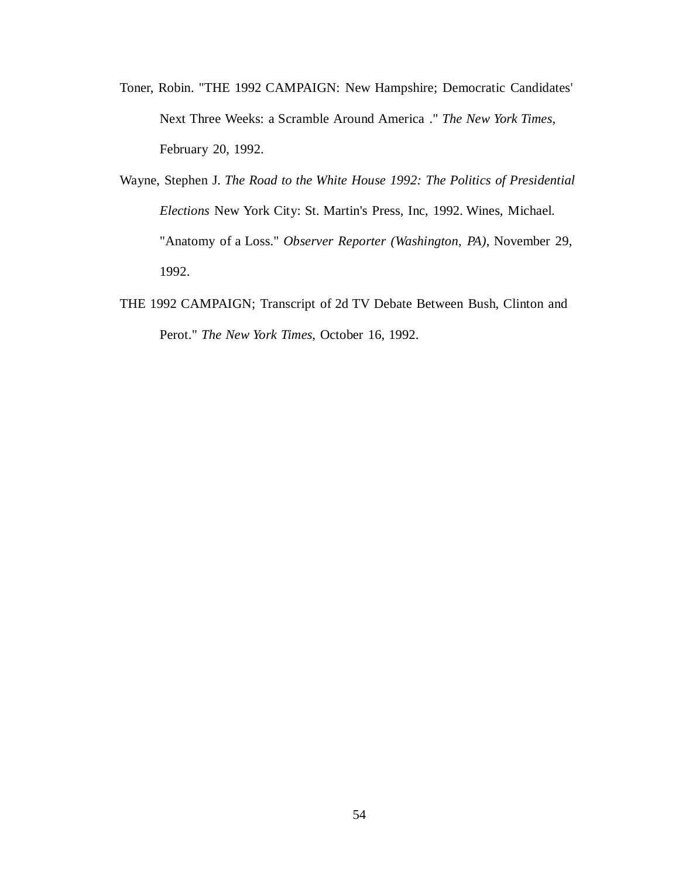- Toner, Robin. "THE 1992 CAMPAIGN: New Hampshire; Democratic Candidates' Next Three Weeks: a Scramble Around America ." *The New York Times*, February 20, 1992.
- Wayne, Stephen J. *The Road to the White House 1992: The Politics of Presidential Elections* New York City: St. Martin's Press, Inc, 1992. Wines, Michael. "Anatomy of a Loss." *Observer Reporter (Washington, PA)*, November 29, 1992.
- THE 1992 CAMPAIGN; Transcript of 2d TV Debate Between Bush, Clinton and Perot." *The New York Times*, October 16, 1992.